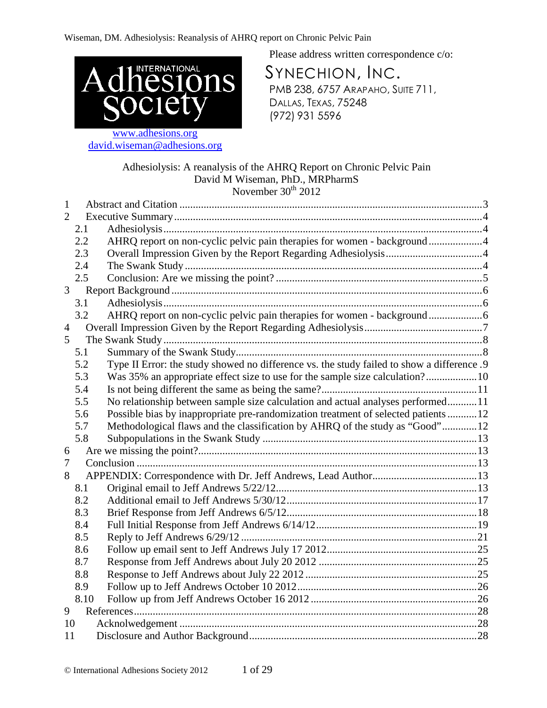

www.adhesions.org david.wiseman@adhesions.org Please address written correspondence c/o:

SYNECHION, INC. PMB 238, 6757 ARAPAHO, SUITE 711, DALLAS, TEXAS, 75248 (972) 931 5596

## Adhesiolysis: A reanalysis of the AHRQ Report on Chronic Pelvic Pain David M Wiseman, PhD., MRPharmS November  $30<sup>th</sup>$  2012

| 1              |      |                                                                                            |  |
|----------------|------|--------------------------------------------------------------------------------------------|--|
| $\overline{2}$ |      |                                                                                            |  |
|                | 2.1  |                                                                                            |  |
|                | 2.2  | AHRQ report on non-cyclic pelvic pain therapies for women - background4                    |  |
|                | 2.3  |                                                                                            |  |
|                | 2.4  |                                                                                            |  |
|                | 2.5  |                                                                                            |  |
| 3              |      |                                                                                            |  |
|                | 3.1  |                                                                                            |  |
|                | 3.2  |                                                                                            |  |
| $\overline{4}$ |      |                                                                                            |  |
| 5              |      |                                                                                            |  |
|                | 5.1  |                                                                                            |  |
|                | 5.2  | Type II Error: the study showed no difference vs. the study failed to show a difference .9 |  |
|                | 5.3  | Was 35% an appropriate effect size to use for the sample size calculation?10               |  |
|                | 5.4  |                                                                                            |  |
|                | 5.5  | No relationship between sample size calculation and actual analyses performed11            |  |
|                | 5.6  | Possible bias by inappropriate pre-randomization treatment of selected patients 12         |  |
|                | 5.7  | Methodological flaws and the classification by AHRQ of the study as "Good"12               |  |
|                | 5.8  |                                                                                            |  |
| 6              |      |                                                                                            |  |
| 7              |      |                                                                                            |  |
| 8              |      |                                                                                            |  |
|                | 8.1  |                                                                                            |  |
|                | 8.2  |                                                                                            |  |
|                | 8.3  |                                                                                            |  |
|                | 8.4  |                                                                                            |  |
|                | 8.5  |                                                                                            |  |
|                | 8.6  |                                                                                            |  |
|                | 8.7  |                                                                                            |  |
|                | 8.8  |                                                                                            |  |
|                | 8.9  |                                                                                            |  |
|                | 8.10 |                                                                                            |  |
| 9              |      |                                                                                            |  |
| 10             |      |                                                                                            |  |
| 11             |      |                                                                                            |  |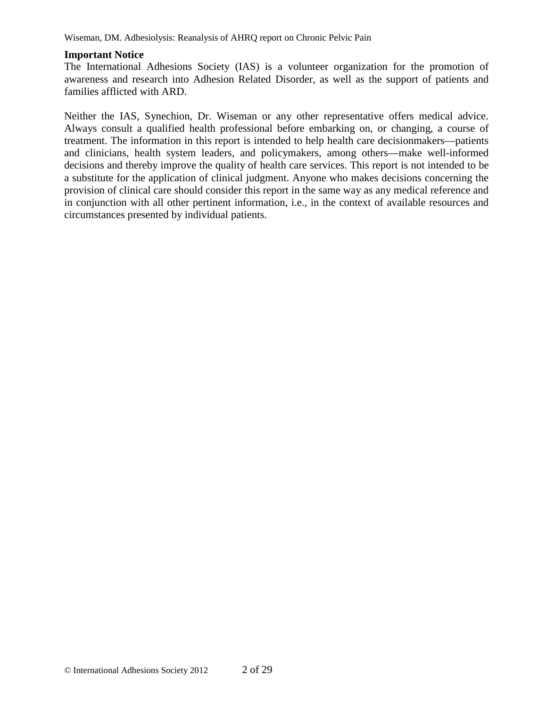### **Important Notice**

The International Adhesions Society (IAS) is a volunteer organization for the promotion of awareness and research into Adhesion Related Disorder, as well as the support of patients and families afflicted with ARD.

Neither the IAS, Synechion, Dr. Wiseman or any other representative offers medical advice. Always consult a qualified health professional before embarking on, or changing, a course of treatment. The information in this report is intended to help health care decisionmakers—patients and clinicians, health system leaders, and policymakers, among others—make well-informed decisions and thereby improve the quality of health care services. This report is not intended to be a substitute for the application of clinical judgment. Anyone who makes decisions concerning the provision of clinical care should consider this report in the same way as any medical reference and in conjunction with all other pertinent information, i.e., in the context of available resources and circumstances presented by individual patients.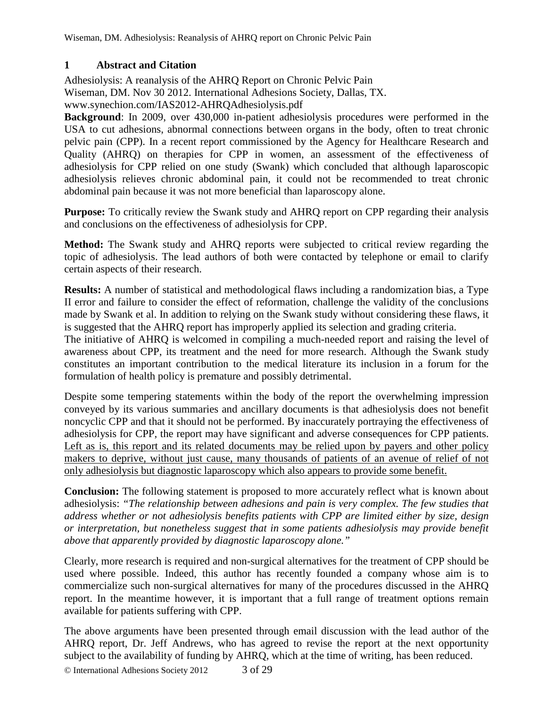## **1 Abstract and Citation**

Adhesiolysis: A reanalysis of the AHRQ Report on Chronic Pelvic Pain Wiseman, DM. Nov 30 2012. International Adhesions Society, Dallas, TX. www.synechion.com/IAS2012-AHRQAdhesiolysis.pdf

**Background**: In 2009, over 430,000 in-patient adhesiolysis procedures were performed in the USA to cut adhesions, abnormal connections between organs in the body, often to treat chronic pelvic pain (CPP). In a recent report commissioned by the Agency for Healthcare Research and Quality (AHRQ) on therapies for CPP in women, an assessment of the effectiveness of adhesiolysis for CPP relied on one study (Swank) which concluded that although laparoscopic adhesiolysis relieves chronic abdominal pain, it could not be recommended to treat chronic abdominal pain because it was not more beneficial than laparoscopy alone.

**Purpose:** To critically review the Swank study and AHRQ report on CPP regarding their analysis and conclusions on the effectiveness of adhesiolysis for CPP.

**Method:** The Swank study and AHRQ reports were subjected to critical review regarding the topic of adhesiolysis. The lead authors of both were contacted by telephone or email to clarify certain aspects of their research.

**Results:** A number of statistical and methodological flaws including a randomization bias, a Type II error and failure to consider the effect of reformation, challenge the validity of the conclusions made by Swank et al. In addition to relying on the Swank study without considering these flaws, it is suggested that the AHRQ report has improperly applied its selection and grading criteria.

The initiative of AHRQ is welcomed in compiling a much-needed report and raising the level of awareness about CPP, its treatment and the need for more research. Although the Swank study constitutes an important contribution to the medical literature its inclusion in a forum for the formulation of health policy is premature and possibly detrimental.

Despite some tempering statements within the body of the report the overwhelming impression conveyed by its various summaries and ancillary documents is that adhesiolysis does not benefit noncyclic CPP and that it should not be performed. By inaccurately portraying the effectiveness of adhesiolysis for CPP, the report may have significant and adverse consequences for CPP patients. Left as is, this report and its related documents may be relied upon by payers and other policy makers to deprive, without just cause, many thousands of patients of an avenue of relief of not only adhesiolysis but diagnostic laparoscopy which also appears to provide some benefit.

**Conclusion:** The following statement is proposed to more accurately reflect what is known about adhesiolysis: *"The relationship between adhesions and pain is very complex. The few studies that address whether or not adhesiolysis benefits patients with CPP are limited either by size, design or interpretation, but nonetheless suggest that in some patients adhesiolysis may provide benefit above that apparently provided by diagnostic laparoscopy alone."* 

Clearly, more research is required and non-surgical alternatives for the treatment of CPP should be used where possible. Indeed, this author has recently founded a company whose aim is to commercialize such non-surgical alternatives for many of the procedures discussed in the AHRQ report. In the meantime however, it is important that a full range of treatment options remain available for patients suffering with CPP.

The above arguments have been presented through email discussion with the lead author of the AHRQ report, Dr. Jeff Andrews, who has agreed to revise the report at the next opportunity subject to the availability of funding by AHRQ, which at the time of writing, has been reduced.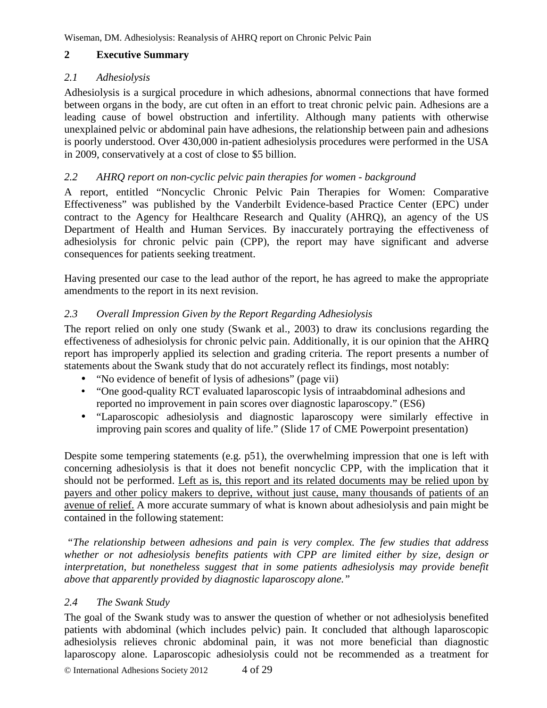## **2 Executive Summary**

### *2.1 Adhesiolysis*

Adhesiolysis is a surgical procedure in which adhesions, abnormal connections that have formed between organs in the body, are cut often in an effort to treat chronic pelvic pain. Adhesions are a leading cause of bowel obstruction and infertility. Although many patients with otherwise unexplained pelvic or abdominal pain have adhesions, the relationship between pain and adhesions is poorly understood. Over 430,000 in-patient adhesiolysis procedures were performed in the USA in 2009, conservatively at a cost of close to \$5 billion.

### *2.2 AHRQ report on non-cyclic pelvic pain therapies for women - background*

A report, entitled "Noncyclic Chronic Pelvic Pain Therapies for Women: Comparative Effectiveness" was published by the Vanderbilt Evidence-based Practice Center (EPC) under contract to the Agency for Healthcare Research and Quality (AHRQ), an agency of the US Department of Health and Human Services. By inaccurately portraying the effectiveness of adhesiolysis for chronic pelvic pain (CPP), the report may have significant and adverse consequences for patients seeking treatment.

Having presented our case to the lead author of the report, he has agreed to make the appropriate amendments to the report in its next revision.

## *2.3 Overall Impression Given by the Report Regarding Adhesiolysis*

The report relied on only one study (Swank et al., 2003) to draw its conclusions regarding the effectiveness of adhesiolysis for chronic pelvic pain. Additionally, it is our opinion that the AHRQ report has improperly applied its selection and grading criteria. The report presents a number of statements about the Swank study that do not accurately reflect its findings, most notably:

- "No evidence of benefit of lysis of adhesions" (page vii)
- "One good-quality RCT evaluated laparoscopic lysis of intraabdominal adhesions and reported no improvement in pain scores over diagnostic laparoscopy." (ES6)
- "Laparoscopic adhesiolysis and diagnostic laparoscopy were similarly effective in improving pain scores and quality of life." (Slide 17 of CME Powerpoint presentation)

Despite some tempering statements (e.g. p51), the overwhelming impression that one is left with concerning adhesiolysis is that it does not benefit noncyclic CPP, with the implication that it should not be performed. Left as is, this report and its related documents may be relied upon by payers and other policy makers to deprive, without just cause, many thousands of patients of an avenue of relief. A more accurate summary of what is known about adhesiolysis and pain might be contained in the following statement:

 *"The relationship between adhesions and pain is very complex. The few studies that address whether or not adhesiolysis benefits patients with CPP are limited either by size, design or interpretation, but nonetheless suggest that in some patients adhesiolysis may provide benefit above that apparently provided by diagnostic laparoscopy alone."* 

## *2.4 The Swank Study*

The goal of the Swank study was to answer the question of whether or not adhesiolysis benefited patients with abdominal (which includes pelvic) pain. It concluded that although laparoscopic adhesiolysis relieves chronic abdominal pain, it was not more beneficial than diagnostic laparoscopy alone. Laparoscopic adhesiolysis could not be recommended as a treatment for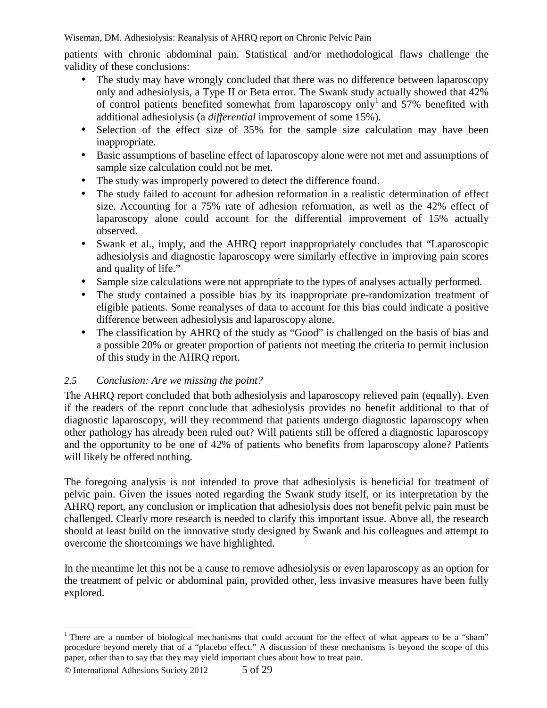patients with chronic abdominal pain. Statistical and/or methodological flaws challenge the validity of these conclusions:

- The study may have wrongly concluded that there was no difference between laparoscopy only and adhesiolysis, a Type II or Beta error. The Swank study actually showed that 42% of control patients benefited somewhat from laparoscopy only<sup>1</sup> and 57% benefited with additional adhesiolysis (a *differential* improvement of some 15%).
- Selection of the effect size of 35% for the sample size calculation may have been inappropriate.
- Basic assumptions of baseline effect of laparoscopy alone were not met and assumptions of sample size calculation could not be met.
- The study was improperly powered to detect the difference found.
- The study failed to account for adhesion reformation in a realistic determination of effect size. Accounting for a 75% rate of adhesion reformation, as well as the 42% effect of laparoscopy alone could account for the differential improvement of 15% actually observed.
- Swank et al., imply, and the AHRQ report inappropriately concludes that "Laparoscopic adhesiolysis and diagnostic laparoscopy were similarly effective in improving pain scores and quality of life."
- Sample size calculations were not appropriate to the types of analyses actually performed.
- The study contained a possible bias by its inappropriate pre-randomization treatment of eligible patients. Some reanalyses of data to account for this bias could indicate a positive difference between adhesiolysis and laparoscopy alone.
- The classification by AHRQ of the study as "Good" is challenged on the basis of bias and a possible 20% or greater proportion of patients not meeting the criteria to permit inclusion of this study in the AHRQ report.

## *2.5 Conclusion: Are we missing the point?*

The AHRQ report concluded that both adhesiolysis and laparoscopy relieved pain (equally). Even if the readers of the report conclude that adhesiolysis provides no benefit additional to that of diagnostic laparoscopy, will they recommend that patients undergo diagnostic laparoscopy when other pathology has already been ruled out? Will patients still be offered a diagnostic laparoscopy and the opportunity to be one of 42% of patients who benefits from laparoscopy alone? Patients will likely be offered nothing.

The foregoing analysis is not intended to prove that adhesiolysis is beneficial for treatment of pelvic pain. Given the issues noted regarding the Swank study itself, or its interpretation by the AHRQ report, any conclusion or implication that adhesiolysis does not benefit pelvic pain must be challenged. Clearly more research is needed to clarify this important issue. Above all, the research should at least build on the innovative study designed by Swank and his colleagues and attempt to overcome the shortcomings we have highlighted.

In the meantime let this not be a cause to remove adhesiolysis or even laparoscopy as an option for the treatment of pelvic or abdominal pain, provided other, less invasive measures have been fully explored.

 $\overline{a}$ 

<sup>&</sup>lt;sup>1</sup> There are a number of biological mechanisms that could account for the effect of what appears to be a "sham" procedure beyond merely that of a "placebo effect." A discussion of these mechanisms is beyond the scope of this paper, other than to say that they may yield important clues about how to treat pain.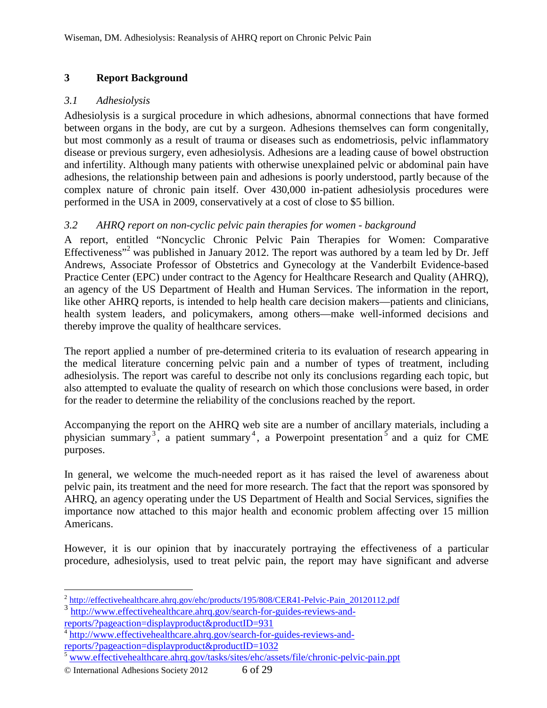## **3 Report Background**

## *3.1 Adhesiolysis*

Adhesiolysis is a surgical procedure in which adhesions, abnormal connections that have formed between organs in the body, are cut by a surgeon. Adhesions themselves can form congenitally, but most commonly as a result of trauma or diseases such as endometriosis, pelvic inflammatory disease or previous surgery, even adhesiolysis. Adhesions are a leading cause of bowel obstruction and infertility. Although many patients with otherwise unexplained pelvic or abdominal pain have adhesions, the relationship between pain and adhesions is poorly understood, partly because of the complex nature of chronic pain itself. Over 430,000 in-patient adhesiolysis procedures were performed in the USA in 2009, conservatively at a cost of close to \$5 billion.

## *3.2 AHRQ report on non-cyclic pelvic pain therapies for women - background*

A report, entitled "Noncyclic Chronic Pelvic Pain Therapies for Women: Comparative Effectiveness"<sup>2</sup> was published in January 2012. The report was authored by a team led by Dr. Jeff Andrews, Associate Professor of Obstetrics and Gynecology at the Vanderbilt Evidence-based Practice Center (EPC) under contract to the Agency for Healthcare Research and Quality (AHRQ), an agency of the US Department of Health and Human Services. The information in the report, like other AHRQ reports, is intended to help health care decision makers—patients and clinicians, health system leaders, and policymakers, among others—make well-informed decisions and thereby improve the quality of healthcare services.

The report applied a number of pre-determined criteria to its evaluation of research appearing in the medical literature concerning pelvic pain and a number of types of treatment, including adhesiolysis. The report was careful to describe not only its conclusions regarding each topic, but also attempted to evaluate the quality of research on which those conclusions were based, in order for the reader to determine the reliability of the conclusions reached by the report.

Accompanying the report on the AHRQ web site are a number of ancillary materials, including a physician summary<sup>3</sup>, a patient summary<sup>4</sup>, a Powerpoint presentation<sup>5</sup> and a quiz for CME purposes.

In general, we welcome the much-needed report as it has raised the level of awareness about pelvic pain, its treatment and the need for more research. The fact that the report was sponsored by AHRQ, an agency operating under the US Department of Health and Social Services, signifies the importance now attached to this major health and economic problem affecting over 15 million Americans.

However, it is our opinion that by inaccurately portraying the effectiveness of a particular procedure, adhesiolysis, used to treat pelvic pain, the report may have significant and adverse

© International Adhesions Society 2012 6 of 29

 $\overline{a}$ <sup>2</sup> http://effectivehealthcare.ahrq.gov/ehc/products/195/808/CER41-Pelvic-Pain\_20120112.pdf

<sup>3</sup> http://www.effectivehealthcare.ahrq.gov/search-for-guides-reviews-andreports/?pageaction=displayproduct&productID=931

<sup>&</sup>lt;sup>4</sup> http://www.effectivehealthcare.ahrq.gov/search-for-guides-reviews-andreports/?pageaction=displayproduct&productID=1032

www.effectivehealthcare.ahrq.gov/tasks/sites/ehc/assets/file/chronic-pelvic-pain.ppt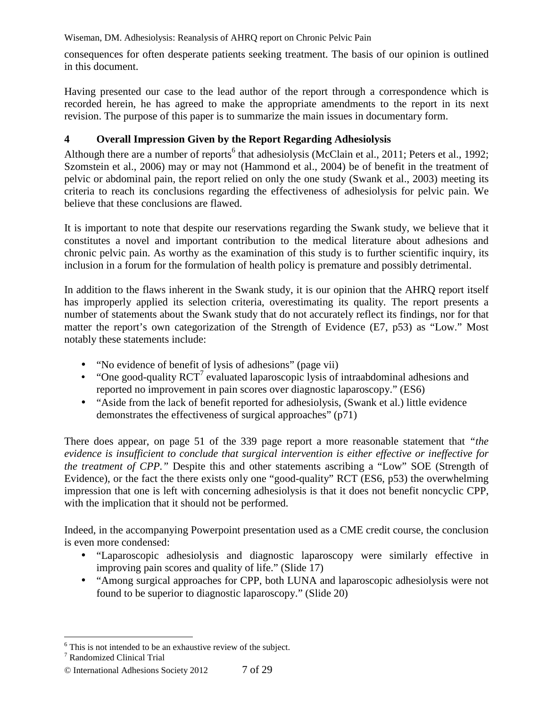consequences for often desperate patients seeking treatment. The basis of our opinion is outlined in this document.

Having presented our case to the lead author of the report through a correspondence which is recorded herein, he has agreed to make the appropriate amendments to the report in its next revision. The purpose of this paper is to summarize the main issues in documentary form.

## **4 Overall Impression Given by the Report Regarding Adhesiolysis**

Although there are a number of reports<sup>6</sup> that adhesiolysis (McClain et al., 2011; Peters et al., 1992; Szomstein et al., 2006) may or may not (Hammond et al., 2004) be of benefit in the treatment of pelvic or abdominal pain, the report relied on only the one study (Swank et al., 2003) meeting its criteria to reach its conclusions regarding the effectiveness of adhesiolysis for pelvic pain. We believe that these conclusions are flawed.

It is important to note that despite our reservations regarding the Swank study, we believe that it constitutes a novel and important contribution to the medical literature about adhesions and chronic pelvic pain. As worthy as the examination of this study is to further scientific inquiry, its inclusion in a forum for the formulation of health policy is premature and possibly detrimental.

In addition to the flaws inherent in the Swank study, it is our opinion that the AHRQ report itself has improperly applied its selection criteria, overestimating its quality. The report presents a number of statements about the Swank study that do not accurately reflect its findings, nor for that matter the report's own categorization of the Strength of Evidence (E7, p53) as "Low." Most notably these statements include:

- "No evidence of benefit of lysis of adhesions" (page vii)
- "One good-quality  ${RCT}^7$  evaluated laparoscopic lysis of intraabdominal adhesions and reported no improvement in pain scores over diagnostic laparoscopy." (ES6)
- "Aside from the lack of benefit reported for adhesiolysis, (Swank et al.) little evidence demonstrates the effectiveness of surgical approaches" (p71)

There does appear, on page 51 of the 339 page report a more reasonable statement that *"the evidence is insufficient to conclude that surgical intervention is either effective or ineffective for the treatment of CPP."* Despite this and other statements ascribing a "Low" SOE (Strength of Evidence), or the fact the there exists only one "good-quality" RCT (ES6, p53) the overwhelming impression that one is left with concerning adhesiolysis is that it does not benefit noncyclic CPP, with the implication that it should not be performed.

Indeed, in the accompanying Powerpoint presentation used as a CME credit course, the conclusion is even more condensed:

- "Laparoscopic adhesiolysis and diagnostic laparoscopy were similarly effective in improving pain scores and quality of life." (Slide 17)
- "Among surgical approaches for CPP, both LUNA and laparoscopic adhesiolysis were not found to be superior to diagnostic laparoscopy." (Slide 20)

 6 This is not intended to be an exhaustive review of the subject.

<sup>7</sup> Randomized Clinical Trial

<sup>©</sup> International Adhesions Society 2012 7 of 29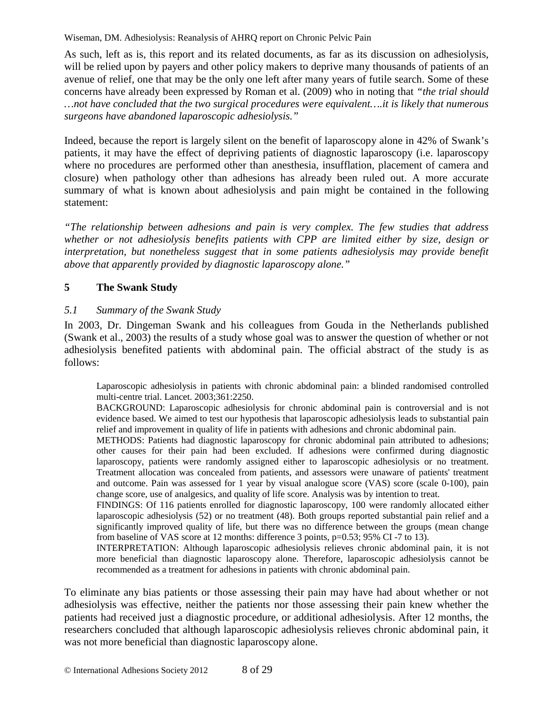As such, left as is, this report and its related documents, as far as its discussion on adhesiolysis, will be relied upon by payers and other policy makers to deprive many thousands of patients of an avenue of relief, one that may be the only one left after many years of futile search. Some of these concerns have already been expressed by Roman et al. (2009) who in noting that *"the trial should …not have concluded that the two surgical procedures were equivalent….it is likely that numerous surgeons have abandoned laparoscopic adhesiolysis."*

Indeed, because the report is largely silent on the benefit of laparoscopy alone in 42% of Swank's patients, it may have the effect of depriving patients of diagnostic laparoscopy (i.e. laparoscopy where no procedures are performed other than anesthesia, insufflation, placement of camera and closure) when pathology other than adhesions has already been ruled out. A more accurate summary of what is known about adhesiolysis and pain might be contained in the following statement:

*"The relationship between adhesions and pain is very complex. The few studies that address whether or not adhesiolysis benefits patients with CPP are limited either by size, design or interpretation, but nonetheless suggest that in some patients adhesiolysis may provide benefit above that apparently provided by diagnostic laparoscopy alone."*

## **5 The Swank Study**

## *5.1 Summary of the Swank Study*

In 2003, Dr. Dingeman Swank and his colleagues from Gouda in the Netherlands published (Swank et al., 2003) the results of a study whose goal was to answer the question of whether or not adhesiolysis benefited patients with abdominal pain. The official abstract of the study is as follows:

Laparoscopic adhesiolysis in patients with chronic abdominal pain: a blinded randomised controlled multi-centre trial. Lancet. 2003;361:2250.

BACKGROUND: Laparoscopic adhesiolysis for chronic abdominal pain is controversial and is not evidence based. We aimed to test our hypothesis that laparoscopic adhesiolysis leads to substantial pain relief and improvement in quality of life in patients with adhesions and chronic abdominal pain.

METHODS: Patients had diagnostic laparoscopy for chronic abdominal pain attributed to adhesions; other causes for their pain had been excluded. If adhesions were confirmed during diagnostic laparoscopy, patients were randomly assigned either to laparoscopic adhesiolysis or no treatment. Treatment allocation was concealed from patients, and assessors were unaware of patients' treatment and outcome. Pain was assessed for 1 year by visual analogue score (VAS) score (scale 0-100), pain change score, use of analgesics, and quality of life score. Analysis was by intention to treat.

FINDINGS: Of 116 patients enrolled for diagnostic laparoscopy, 100 were randomly allocated either laparoscopic adhesiolysis (52) or no treatment (48). Both groups reported substantial pain relief and a significantly improved quality of life, but there was no difference between the groups (mean change from baseline of VAS score at 12 months: difference 3 points, p=0.53; 95% CI -7 to 13).

INTERPRETATION: Although laparoscopic adhesiolysis relieves chronic abdominal pain, it is not more beneficial than diagnostic laparoscopy alone. Therefore, laparoscopic adhesiolysis cannot be recommended as a treatment for adhesions in patients with chronic abdominal pain.

To eliminate any bias patients or those assessing their pain may have had about whether or not adhesiolysis was effective, neither the patients nor those assessing their pain knew whether the patients had received just a diagnostic procedure, or additional adhesiolysis. After 12 months, the researchers concluded that although laparoscopic adhesiolysis relieves chronic abdominal pain, it was not more beneficial than diagnostic laparoscopy alone.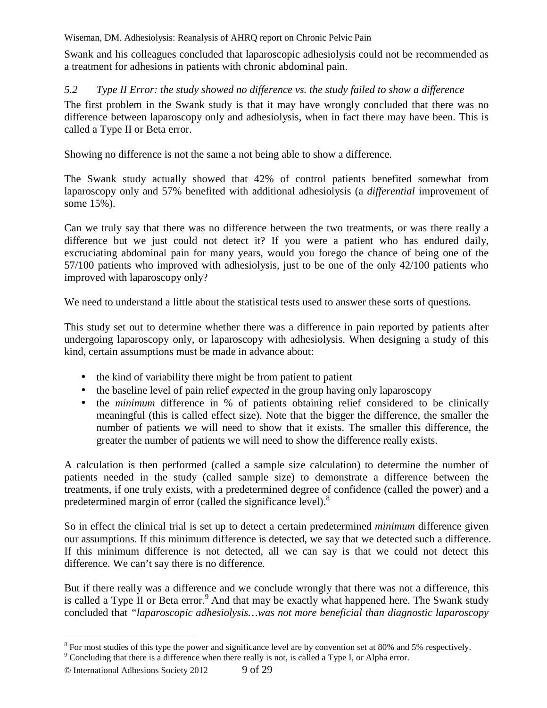Swank and his colleagues concluded that laparoscopic adhesiolysis could not be recommended as a treatment for adhesions in patients with chronic abdominal pain.

## *5.2 Type II Error: the study showed no difference vs. the study failed to show a difference*

The first problem in the Swank study is that it may have wrongly concluded that there was no difference between laparoscopy only and adhesiolysis, when in fact there may have been. This is called a Type II or Beta error.

Showing no difference is not the same a not being able to show a difference.

The Swank study actually showed that 42% of control patients benefited somewhat from laparoscopy only and 57% benefited with additional adhesiolysis (a *differential* improvement of some 15%).

Can we truly say that there was no difference between the two treatments, or was there really a difference but we just could not detect it? If you were a patient who has endured daily, excruciating abdominal pain for many years, would you forego the chance of being one of the 57/100 patients who improved with adhesiolysis, just to be one of the only 42/100 patients who improved with laparoscopy only?

We need to understand a little about the statistical tests used to answer these sorts of questions.

This study set out to determine whether there was a difference in pain reported by patients after undergoing laparoscopy only, or laparoscopy with adhesiolysis. When designing a study of this kind, certain assumptions must be made in advance about:

- the kind of variability there might be from patient to patient
- the baseline level of pain relief *expected* in the group having only laparoscopy
- the *minimum* difference in % of patients obtaining relief considered to be clinically meaningful (this is called effect size). Note that the bigger the difference, the smaller the number of patients we will need to show that it exists. The smaller this difference, the greater the number of patients we will need to show the difference really exists.

A calculation is then performed (called a sample size calculation) to determine the number of patients needed in the study (called sample size) to demonstrate a difference between the treatments, if one truly exists, with a predetermined degree of confidence (called the power) and a predetermined margin of error (called the significance level).<sup>8</sup>

So in effect the clinical trial is set up to detect a certain predetermined *minimum* difference given our assumptions. If this minimum difference is detected, we say that we detected such a difference. If this minimum difference is not detected, all we can say is that we could not detect this difference. We can't say there is no difference.

But if there really was a difference and we conclude wrongly that there was not a difference, this is called a Type II or Beta error.<sup>9</sup> And that may be exactly what happened here. The Swank study concluded that *"laparoscopic adhesiolysis…was not more beneficial than diagnostic laparoscopy* 

<sup>&</sup>lt;sup>8</sup> For most studies of this type the power and significance level are by convention set at 80% and 5% respectively.

<sup>&</sup>lt;sup>9</sup> Concluding that there is a difference when there really is not, is called a Type I, or Alpha error.

<sup>©</sup> International Adhesions Society 2012 9 of 29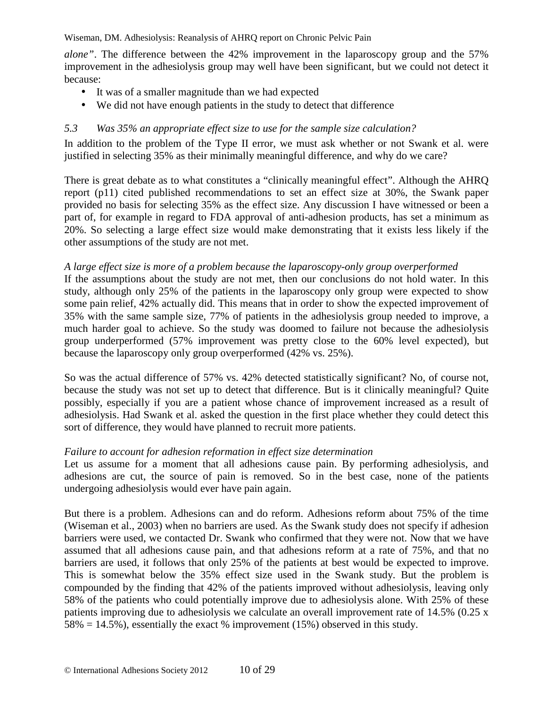*alone"*. The difference between the 42% improvement in the laparoscopy group and the 57% improvement in the adhesiolysis group may well have been significant, but we could not detect it because:

- It was of a smaller magnitude than we had expected
- We did not have enough patients in the study to detect that difference

## *5.3 Was 35% an appropriate effect size to use for the sample size calculation?*

In addition to the problem of the Type II error, we must ask whether or not Swank et al. were justified in selecting 35% as their minimally meaningful difference, and why do we care?

There is great debate as to what constitutes a "clinically meaningful effect". Although the AHRQ report (p11) cited published recommendations to set an effect size at 30%, the Swank paper provided no basis for selecting 35% as the effect size. Any discussion I have witnessed or been a part of, for example in regard to FDA approval of anti-adhesion products, has set a minimum as 20%. So selecting a large effect size would make demonstrating that it exists less likely if the other assumptions of the study are not met.

### *A large effect size is more of a problem because the laparoscopy-only group overperformed*

If the assumptions about the study are not met, then our conclusions do not hold water. In this study, although only 25% of the patients in the laparoscopy only group were expected to show some pain relief, 42% actually did. This means that in order to show the expected improvement of 35% with the same sample size, 77% of patients in the adhesiolysis group needed to improve, a much harder goal to achieve. So the study was doomed to failure not because the adhesiolysis group underperformed (57% improvement was pretty close to the 60% level expected), but because the laparoscopy only group overperformed (42% vs. 25%).

So was the actual difference of 57% vs. 42% detected statistically significant? No, of course not, because the study was not set up to detect that difference. But is it clinically meaningful? Quite possibly, especially if you are a patient whose chance of improvement increased as a result of adhesiolysis. Had Swank et al. asked the question in the first place whether they could detect this sort of difference, they would have planned to recruit more patients.

### *Failure to account for adhesion reformation in effect size determination*

Let us assume for a moment that all adhesions cause pain. By performing adhesiolysis, and adhesions are cut, the source of pain is removed. So in the best case, none of the patients undergoing adhesiolysis would ever have pain again.

But there is a problem. Adhesions can and do reform. Adhesions reform about 75% of the time (Wiseman et al., 2003) when no barriers are used. As the Swank study does not specify if adhesion barriers were used, we contacted Dr. Swank who confirmed that they were not. Now that we have assumed that all adhesions cause pain, and that adhesions reform at a rate of 75%, and that no barriers are used, it follows that only 25% of the patients at best would be expected to improve. This is somewhat below the 35% effect size used in the Swank study. But the problem is compounded by the finding that 42% of the patients improved without adhesiolysis, leaving only 58% of the patients who could potentially improve due to adhesiolysis alone. With 25% of these patients improving due to adhesiolysis we calculate an overall improvement rate of 14.5% (0.25 x  $58\% = 14.5\%$ , essentially the exact % improvement (15%) observed in this study.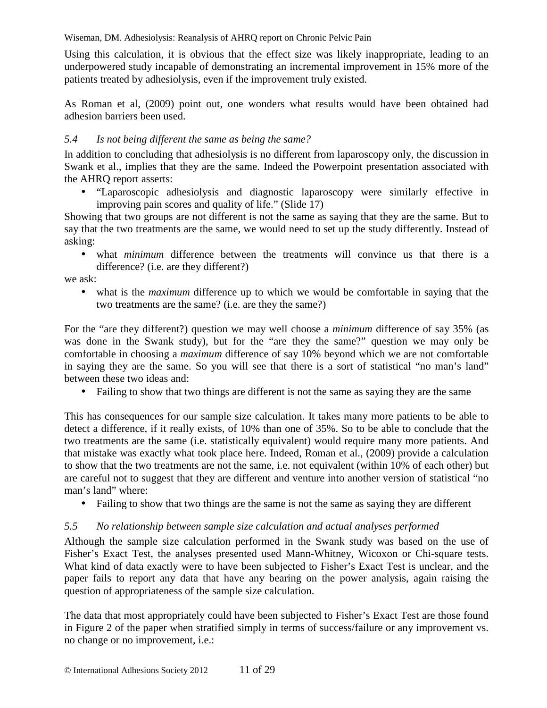Using this calculation, it is obvious that the effect size was likely inappropriate, leading to an underpowered study incapable of demonstrating an incremental improvement in 15% more of the patients treated by adhesiolysis, even if the improvement truly existed.

As Roman et al, (2009) point out, one wonders what results would have been obtained had adhesion barriers been used.

## *5.4 Is not being different the same as being the same?*

In addition to concluding that adhesiolysis is no different from laparoscopy only, the discussion in Swank et al., implies that they are the same. Indeed the Powerpoint presentation associated with the AHRQ report asserts:

• "Laparoscopic adhesiolysis and diagnostic laparoscopy were similarly effective in improving pain scores and quality of life." (Slide 17)

Showing that two groups are not different is not the same as saying that they are the same. But to say that the two treatments are the same, we would need to set up the study differently. Instead of asking:

• what *minimum* difference between the treatments will convince us that there is a difference? (i.e. are they different?)

we ask:

• what is the *maximum* difference up to which we would be comfortable in saying that the two treatments are the same? (i.e. are they the same?)

For the "are they different?) question we may well choose a *minimum* difference of say 35% (as was done in the Swank study), but for the "are they the same?" question we may only be comfortable in choosing a *maximum* difference of say 10% beyond which we are not comfortable in saying they are the same. So you will see that there is a sort of statistical "no man's land" between these two ideas and:

• Failing to show that two things are different is not the same as saying they are the same

This has consequences for our sample size calculation. It takes many more patients to be able to detect a difference, if it really exists, of 10% than one of 35%. So to be able to conclude that the two treatments are the same (i.e. statistically equivalent) would require many more patients. And that mistake was exactly what took place here. Indeed, Roman et al., (2009) provide a calculation to show that the two treatments are not the same, i.e. not equivalent (within 10% of each other) but are careful not to suggest that they are different and venture into another version of statistical "no man's land" where:

• Failing to show that two things are the same is not the same as saying they are different

## *5.5 No relationship between sample size calculation and actual analyses performed*

Although the sample size calculation performed in the Swank study was based on the use of Fisher's Exact Test, the analyses presented used Mann-Whitney, Wicoxon or Chi-square tests. What kind of data exactly were to have been subjected to Fisher's Exact Test is unclear, and the paper fails to report any data that have any bearing on the power analysis, again raising the question of appropriateness of the sample size calculation.

The data that most appropriately could have been subjected to Fisher's Exact Test are those found in Figure 2 of the paper when stratified simply in terms of success/failure or any improvement vs. no change or no improvement, i.e.: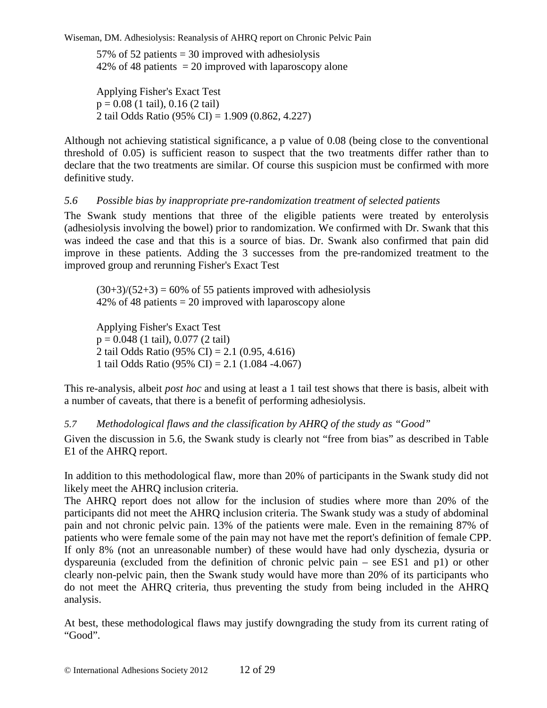57% of 52 patients  $=$  30 improved with adhesiolysis 42% of 48 patients  $= 20$  improved with laparoscopy alone

Applying Fisher's Exact Test  $p = 0.08$  (1 tail), 0.16 (2 tail) 2 tail Odds Ratio (95% CI) = 1.909 (0.862, 4.227)

Although not achieving statistical significance, a p value of 0.08 (being close to the conventional threshold of 0.05) is sufficient reason to suspect that the two treatments differ rather than to declare that the two treatments are similar. Of course this suspicion must be confirmed with more definitive study.

### *5.6 Possible bias by inappropriate pre-randomization treatment of selected patients*

The Swank study mentions that three of the eligible patients were treated by enterolysis (adhesiolysis involving the bowel) prior to randomization. We confirmed with Dr. Swank that this was indeed the case and that this is a source of bias. Dr. Swank also confirmed that pain did improve in these patients. Adding the 3 successes from the pre-randomized treatment to the improved group and rerunning Fisher's Exact Test

 $(30+3)/(52+3) = 60\%$  of 55 patients improved with adhesiolysis 42% of 48 patients = 20 improved with laparoscopy alone

Applying Fisher's Exact Test  $p = 0.048$  (1 tail), 0.077 (2 tail) 2 tail Odds Ratio (95% CI) = 2.1 (0.95, 4.616) 1 tail Odds Ratio (95% CI) = 2.1 (1.084 -4.067)

This re-analysis, albeit *post hoc* and using at least a 1 tail test shows that there is basis, albeit with a number of caveats, that there is a benefit of performing adhesiolysis.

*5.7 Methodological flaws and the classification by AHRQ of the study as "Good"* 

Given the discussion in 5.6, the Swank study is clearly not "free from bias" as described in Table E1 of the AHRQ report.

In addition to this methodological flaw, more than 20% of participants in the Swank study did not likely meet the AHRQ inclusion criteria.

The AHRQ report does not allow for the inclusion of studies where more than 20% of the participants did not meet the AHRQ inclusion criteria. The Swank study was a study of abdominal pain and not chronic pelvic pain. 13% of the patients were male. Even in the remaining 87% of patients who were female some of the pain may not have met the report's definition of female CPP. If only 8% (not an unreasonable number) of these would have had only dyschezia, dysuria or dyspareunia (excluded from the definition of chronic pelvic pain – see ES1 and p1) or other clearly non-pelvic pain, then the Swank study would have more than 20% of its participants who do not meet the AHRQ criteria, thus preventing the study from being included in the AHRQ analysis.

At best, these methodological flaws may justify downgrading the study from its current rating of "Good".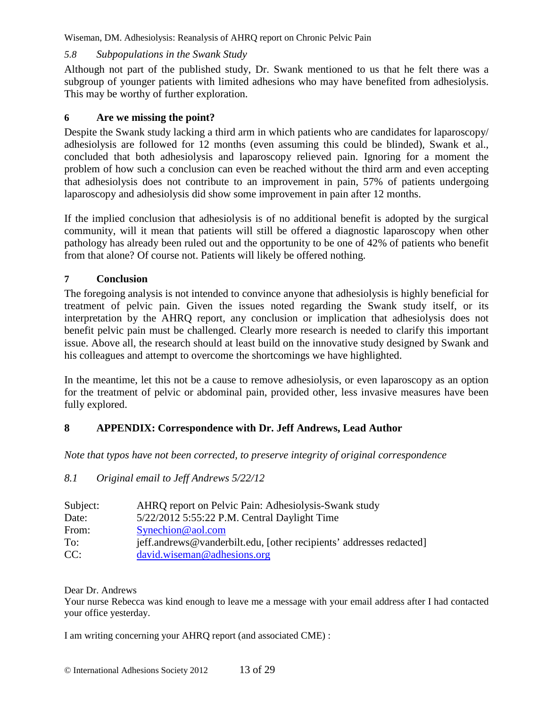## *5.8 Subpopulations in the Swank Study*

Although not part of the published study, Dr. Swank mentioned to us that he felt there was a subgroup of younger patients with limited adhesions who may have benefited from adhesiolysis. This may be worthy of further exploration.

## **6 Are we missing the point?**

Despite the Swank study lacking a third arm in which patients who are candidates for laparoscopy/ adhesiolysis are followed for 12 months (even assuming this could be blinded), Swank et al., concluded that both adhesiolysis and laparoscopy relieved pain. Ignoring for a moment the problem of how such a conclusion can even be reached without the third arm and even accepting that adhesiolysis does not contribute to an improvement in pain, 57% of patients undergoing laparoscopy and adhesiolysis did show some improvement in pain after 12 months.

If the implied conclusion that adhesiolysis is of no additional benefit is adopted by the surgical community, will it mean that patients will still be offered a diagnostic laparoscopy when other pathology has already been ruled out and the opportunity to be one of 42% of patients who benefit from that alone? Of course not. Patients will likely be offered nothing.

## **7 Conclusion**

The foregoing analysis is not intended to convince anyone that adhesiolysis is highly beneficial for treatment of pelvic pain. Given the issues noted regarding the Swank study itself, or its interpretation by the AHRQ report, any conclusion or implication that adhesiolysis does not benefit pelvic pain must be challenged. Clearly more research is needed to clarify this important issue. Above all, the research should at least build on the innovative study designed by Swank and his colleagues and attempt to overcome the shortcomings we have highlighted.

In the meantime, let this not be a cause to remove adhesiolysis, or even laparoscopy as an option for the treatment of pelvic or abdominal pain, provided other, less invasive measures have been fully explored.

## **8 APPENDIX: Correspondence with Dr. Jeff Andrews, Lead Author**

*Note that typos have not been corrected, to preserve integrity of original correspondence* 

## *8.1 Original email to Jeff Andrews 5/22/12*

| Subject: | AHRQ report on Pelvic Pain: Adhesiolysis-Swank study                |
|----------|---------------------------------------------------------------------|
| Date:    | 5/22/2012 5:55:22 P.M. Central Daylight Time                        |
| From:    | $S$ ynechion@aol.com                                                |
| To:      | jeff.andrews@vanderbilt.edu, [other recipients' addresses redacted] |
| CC:      | david.wiseman@adhesions.org                                         |

Dear Dr. Andrews

Your nurse Rebecca was kind enough to leave me a message with your email address after I had contacted your office yesterday.

I am writing concerning your AHRQ report (and associated CME) :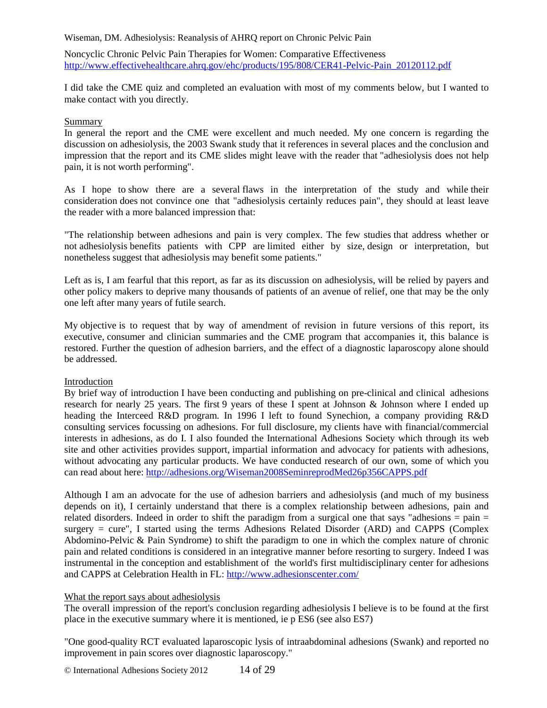Noncyclic Chronic Pelvic Pain Therapies for Women: Comparative Effectiveness http://www.effectivehealthcare.ahrq.gov/ehc/products/195/808/CER41-Pelvic-Pain\_20120112.pdf

I did take the CME quiz and completed an evaluation with most of my comments below, but I wanted to make contact with you directly.

#### Summary

In general the report and the CME were excellent and much needed. My one concern is regarding the discussion on adhesiolysis, the 2003 Swank study that it references in several places and the conclusion and impression that the report and its CME slides might leave with the reader that "adhesiolysis does not help pain, it is not worth performing".

As I hope to show there are a several flaws in the interpretation of the study and while their consideration does not convince one that "adhesiolysis certainly reduces pain", they should at least leave the reader with a more balanced impression that:

"The relationship between adhesions and pain is very complex. The few studies that address whether or not adhesiolysis benefits patients with CPP are limited either by size, design or interpretation, but nonetheless suggest that adhesiolysis may benefit some patients."

Left as is, I am fearful that this report, as far as its discussion on adhesiolysis, will be relied by payers and other policy makers to deprive many thousands of patients of an avenue of relief, one that may be the only one left after many years of futile search.

My objective is to request that by way of amendment of revision in future versions of this report, its executive, consumer and clinician summaries and the CME program that accompanies it, this balance is restored. Further the question of adhesion barriers, and the effect of a diagnostic laparoscopy alone should be addressed.

### Introduction

By brief way of introduction I have been conducting and publishing on pre-clinical and clinical adhesions research for nearly 25 years. The first 9 years of these I spent at Johnson & Johnson where I ended up heading the Interceed R&D program. In 1996 I left to found Synechion, a company providing R&D consulting services focussing on adhesions. For full disclosure, my clients have with financial/commercial interests in adhesions, as do I. I also founded the International Adhesions Society which through its web site and other activities provides support, impartial information and advocacy for patients with adhesions, without advocating any particular products. We have conducted research of our own, some of which you can read about here: http://adhesions.org/Wiseman2008SeminreprodMed26p356CAPPS.pdf

Although I am an advocate for the use of adhesion barriers and adhesiolysis (and much of my business depends on it), I certainly understand that there is a complex relationship between adhesions, pain and related disorders. Indeed in order to shift the paradigm from a surgical one that says "adhesions  $=$  pain  $=$ surgery = cure", I started using the terms Adhesions Related Disorder (ARD) and CAPPS (Complex Abdomino-Pelvic & Pain Syndrome) to shift the paradigm to one in which the complex nature of chronic pain and related conditions is considered in an integrative manner before resorting to surgery. Indeed I was instrumental in the conception and establishment of the world's first multidisciplinary center for adhesions and CAPPS at Celebration Health in FL: http://www.adhesionscenter.com/

#### What the report says about adhesiolysis

The overall impression of the report's conclusion regarding adhesiolysis I believe is to be found at the first place in the executive summary where it is mentioned, ie p ES6 (see also ES7)

"One good-quality RCT evaluated laparoscopic lysis of intraabdominal adhesions (Swank) and reported no improvement in pain scores over diagnostic laparoscopy."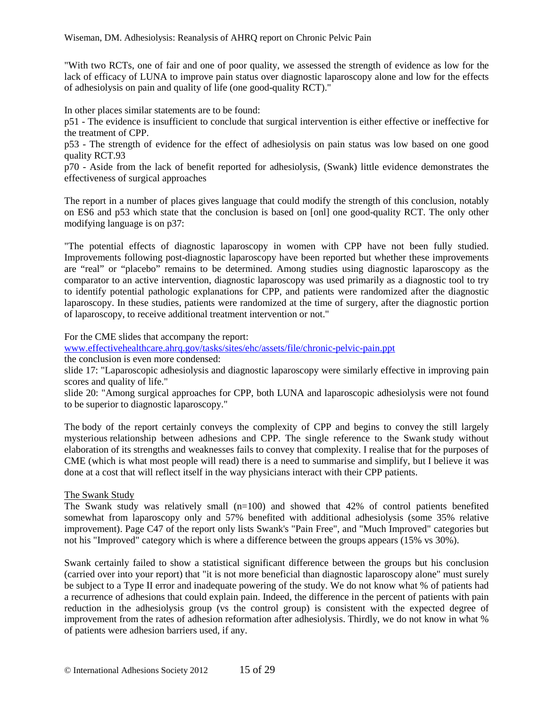"With two RCTs, one of fair and one of poor quality, we assessed the strength of evidence as low for the lack of efficacy of LUNA to improve pain status over diagnostic laparoscopy alone and low for the effects of adhesiolysis on pain and quality of life (one good-quality RCT)."

In other places similar statements are to be found:

p51 - The evidence is insufficient to conclude that surgical intervention is either effective or ineffective for the treatment of CPP.

p53 - The strength of evidence for the effect of adhesiolysis on pain status was low based on one good quality RCT.93

p70 - Aside from the lack of benefit reported for adhesiolysis, (Swank) little evidence demonstrates the effectiveness of surgical approaches

The report in a number of places gives language that could modify the strength of this conclusion, notably on ES6 and p53 which state that the conclusion is based on [onl] one good-quality RCT. The only other modifying language is on p37:

"The potential effects of diagnostic laparoscopy in women with CPP have not been fully studied. Improvements following post-diagnostic laparoscopy have been reported but whether these improvements are "real" or "placebo" remains to be determined. Among studies using diagnostic laparoscopy as the comparator to an active intervention, diagnostic laparoscopy was used primarily as a diagnostic tool to try to identify potential pathologic explanations for CPP, and patients were randomized after the diagnostic laparoscopy. In these studies, patients were randomized at the time of surgery, after the diagnostic portion of laparoscopy, to receive additional treatment intervention or not."

For the CME slides that accompany the report:

www.effectivehealthcare.ahrq.gov/tasks/sites/ehc/assets/file/chronic-pelvic-pain.ppt

the conclusion is even more condensed:

slide 17: "Laparoscopic adhesiolysis and diagnostic laparoscopy were similarly effective in improving pain scores and quality of life."

slide 20: "Among surgical approaches for CPP, both LUNA and laparoscopic adhesiolysis were not found to be superior to diagnostic laparoscopy."

The body of the report certainly conveys the complexity of CPP and begins to convey the still largely mysterious relationship between adhesions and CPP. The single reference to the Swank study without elaboration of its strengths and weaknesses fails to convey that complexity. I realise that for the purposes of CME (which is what most people will read) there is a need to summarise and simplify, but I believe it was done at a cost that will reflect itself in the way physicians interact with their CPP patients.

#### The Swank Study

The Swank study was relatively small (n=100) and showed that 42% of control patients benefited somewhat from laparoscopy only and 57% benefited with additional adhesiolysis (some 35% relative improvement). Page C47 of the report only lists Swank's "Pain Free", and "Much Improved" categories but not his "Improved" category which is where a difference between the groups appears (15% vs 30%).

Swank certainly failed to show a statistical significant difference between the groups but his conclusion (carried over into your report) that "it is not more beneficial than diagnostic laparoscopy alone" must surely be subject to a Type II error and inadequate powering of the study. We do not know what % of patients had a recurrence of adhesions that could explain pain. Indeed, the difference in the percent of patients with pain reduction in the adhesiolysis group (vs the control group) is consistent with the expected degree of improvement from the rates of adhesion reformation after adhesiolysis. Thirdly, we do not know in what % of patients were adhesion barriers used, if any.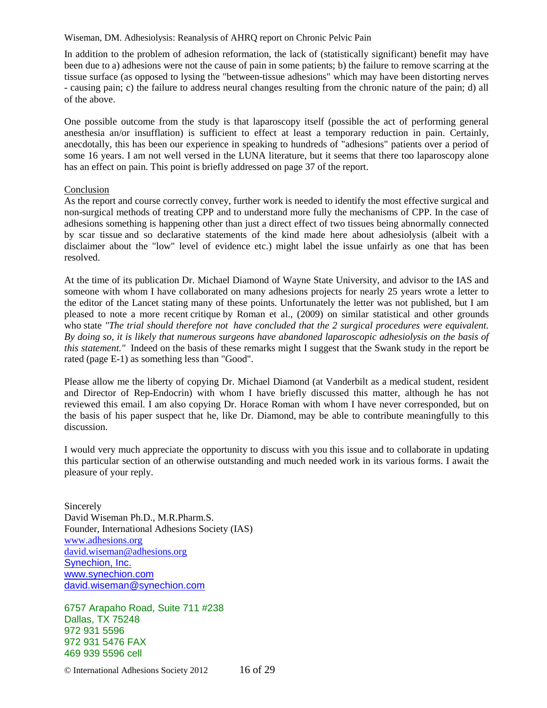In addition to the problem of adhesion reformation, the lack of (statistically significant) benefit may have been due to a) adhesions were not the cause of pain in some patients; b) the failure to remove scarring at the tissue surface (as opposed to lysing the "between-tissue adhesions" which may have been distorting nerves - causing pain; c) the failure to address neural changes resulting from the chronic nature of the pain; d) all of the above.

One possible outcome from the study is that laparoscopy itself (possible the act of performing general anesthesia an/or insufflation) is sufficient to effect at least a temporary reduction in pain. Certainly, anecdotally, this has been our experience in speaking to hundreds of "adhesions" patients over a period of some 16 years. I am not well versed in the LUNA literature, but it seems that there too laparoscopy alone has an effect on pain. This point is briefly addressed on page 37 of the report.

#### Conclusion

As the report and course correctly convey, further work is needed to identify the most effective surgical and non-surgical methods of treating CPP and to understand more fully the mechanisms of CPP. In the case of adhesions something is happening other than just a direct effect of two tissues being abnormally connected by scar tissue and so declarative statements of the kind made here about adhesiolysis (albeit with a disclaimer about the "low" level of evidence etc.) might label the issue unfairly as one that has been resolved.

At the time of its publication Dr. Michael Diamond of Wayne State University, and advisor to the IAS and someone with whom I have collaborated on many adhesions projects for nearly 25 years wrote a letter to the editor of the Lancet stating many of these points. Unfortunately the letter was not published, but I am pleased to note a more recent critique by Roman et al., (2009) on similar statistical and other grounds who state *"The trial should therefore not have concluded that the 2 surgical procedures were equivalent. By doing so, it is likely that numerous surgeons have abandoned laparoscopic adhesiolysis on the basis of this statement.*" Indeed on the basis of these remarks might I suggest that the Swank study in the report be rated (page E-1) as something less than "Good".

Please allow me the liberty of copying Dr. Michael Diamond (at Vanderbilt as a medical student, resident and Director of Rep-Endocrin) with whom I have briefly discussed this matter, although he has not reviewed this email. I am also copying Dr. Horace Roman with whom I have never corresponded, but on the basis of his paper suspect that he, like Dr. Diamond, may be able to contribute meaningfully to this discussion.

I would very much appreciate the opportunity to discuss with you this issue and to collaborate in updating this particular section of an otherwise outstanding and much needed work in its various forms. I await the pleasure of your reply.

Sincerely David Wiseman Ph.D., M.R.Pharm.S. Founder, International Adhesions Society (IAS) www.adhesions.org david.wiseman@adhesions.org Synechion, Inc. www.synechion.com david.wiseman@synechion.com

6757 Arapaho Road, Suite 711 #238 Dallas, TX 75248 972 931 5596 972 931 5476 FAX 469 939 5596 cell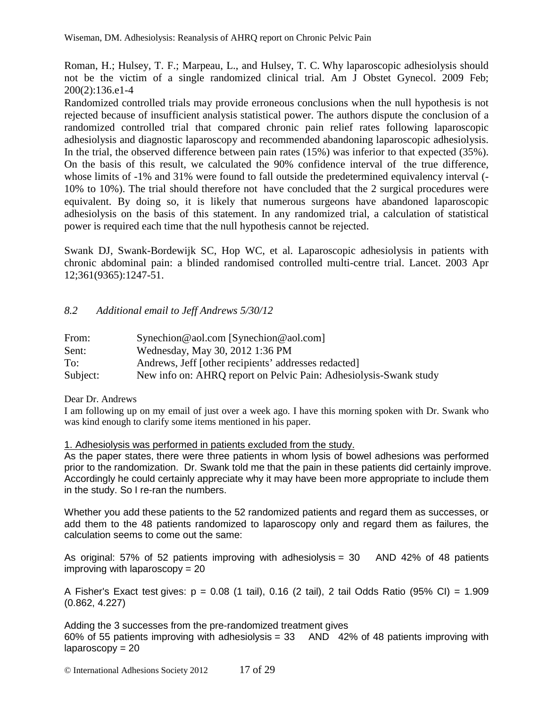Roman, H.; Hulsey, T. F.; Marpeau, L., and Hulsey, T. C. Why laparoscopic adhesiolysis should not be the victim of a single randomized clinical trial. Am J Obstet Gynecol. 2009 Feb; 200(2):136.e1-4

Randomized controlled trials may provide erroneous conclusions when the null hypothesis is not rejected because of insufficient analysis statistical power. The authors dispute the conclusion of a randomized controlled trial that compared chronic pain relief rates following laparoscopic adhesiolysis and diagnostic laparoscopy and recommended abandoning laparoscopic adhesiolysis. In the trial, the observed difference between pain rates (15%) was inferior to that expected (35%). On the basis of this result, we calculated the 90% confidence interval of the true difference, whose limits of -1% and 31% were found to fall outside the predetermined equivalency interval (- 10% to 10%). The trial should therefore not have concluded that the 2 surgical procedures were equivalent. By doing so, it is likely that numerous surgeons have abandoned laparoscopic adhesiolysis on the basis of this statement. In any randomized trial, a calculation of statistical power is required each time that the null hypothesis cannot be rejected.

Swank DJ, Swank-Bordewijk SC, Hop WC, et al. Laparoscopic adhesiolysis in patients with chronic abdominal pain: a blinded randomised controlled multi-centre trial. Lancet. 2003 Apr 12;361(9365):1247-51.

## *8.2 Additional email to Jeff Andrews 5/30/12*

| From:    | $Synechion@aol.com$ [Synechion@aol.com]                           |
|----------|-------------------------------------------------------------------|
| Sent:    | Wednesday, May 30, 2012 1:36 PM                                   |
| To:      | Andrews, Jeff [other recipients' addresses redacted]              |
| Subject: | New info on: AHRQ report on Pelvic Pain: Adhesiolysis-Swank study |

Dear Dr. Andrews

I am following up on my email of just over a week ago. I have this morning spoken with Dr. Swank who was kind enough to clarify some items mentioned in his paper.

### 1. Adhesiolysis was performed in patients excluded from the study.

As the paper states, there were three patients in whom lysis of bowel adhesions was performed prior to the randomization. Dr. Swank told me that the pain in these patients did certainly improve. Accordingly he could certainly appreciate why it may have been more appropriate to include them in the study. So I re-ran the numbers.

Whether you add these patients to the 52 randomized patients and regard them as successes, or add them to the 48 patients randomized to laparoscopy only and regard them as failures, the calculation seems to come out the same:

As original: 57% of 52 patients improving with adhesiolysis = 30 AND 42% of 48 patients improving with laparoscopy  $= 20$ 

A Fisher's Exact test gives:  $p = 0.08$  (1 tail), 0.16 (2 tail), 2 tail Odds Ratio (95% CI) = 1.909 (0.862, 4.227)

Adding the 3 successes from the pre-randomized treatment gives

60% of 55 patients improving with adhesiolysis =  $33$  AND 42% of 48 patients improving with  $laparoscopy = 20$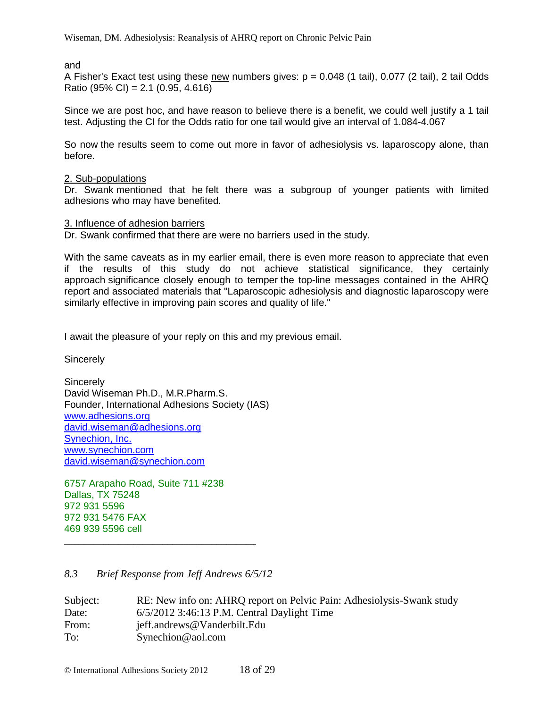and

A Fisher's Exact test using these new numbers gives:  $p = 0.048$  (1 tail), 0.077 (2 tail), 2 tail Odds Ratio (95% CI) = 2.1 (0.95, 4.616)

Since we are post hoc, and have reason to believe there is a benefit, we could well justify a 1 tail test. Adjusting the CI for the Odds ratio for one tail would give an interval of 1.084-4.067

So now the results seem to come out more in favor of adhesiolysis vs. laparoscopy alone, than before.

### 2. Sub-populations

Dr. Swank mentioned that he felt there was a subgroup of younger patients with limited adhesions who may have benefited.

### 3. Influence of adhesion barriers

Dr. Swank confirmed that there are were no barriers used in the study.

With the same caveats as in my earlier email, there is even more reason to appreciate that even if the results of this study do not achieve statistical significance, they certainly approach significance closely enough to temper the top-line messages contained in the AHRQ report and associated materials that "Laparoscopic adhesiolysis and diagnostic laparoscopy were similarly effective in improving pain scores and quality of life."

I await the pleasure of your reply on this and my previous email.

**Sincerely** 

**Sincerely** David Wiseman Ph.D., M.R.Pharm.S. Founder, International Adhesions Society (IAS) www.adhesions.org david.wiseman@adhesions.org Synechion, Inc. www.synechion.com david.wiseman@synechion.com

6757 Arapaho Road, Suite 711 #238 Dallas, TX 75248 972 931 5596 972 931 5476 FAX 469 939 5596 cell

## *8.3 Brief Response from Jeff Andrews 6/5/12*

\_\_\_\_\_\_\_\_\_\_\_\_\_\_\_\_\_\_\_\_\_\_\_\_\_\_\_\_\_\_\_\_\_\_\_\_\_\_\_

| Subject: | RE: New info on: AHRQ report on Pelvic Pain: Adhesiolysis-Swank study |
|----------|-----------------------------------------------------------------------|
| Date:    | $6/5/2012$ 3:46:13 P.M. Central Daylight Time                         |
| From:    | jeff.andrews@Vanderbilt.Edu                                           |
| To:      | $S$ ynechion@aol.com                                                  |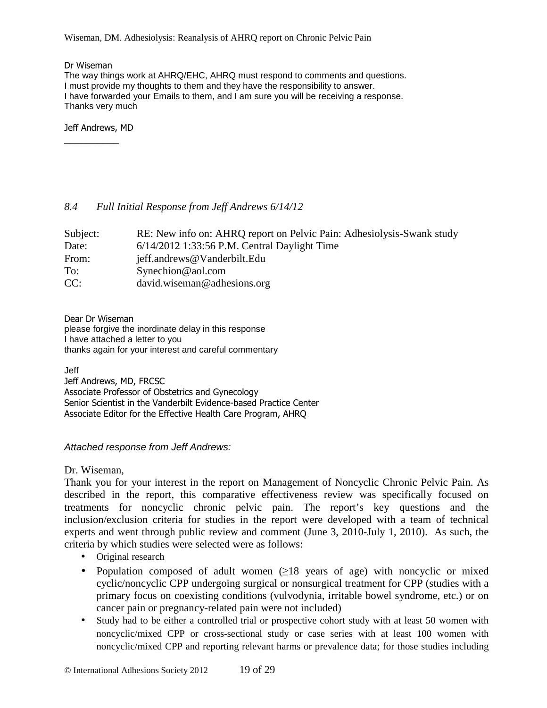Dr Wiseman

The way things work at AHRQ/EHC, AHRQ must respond to comments and questions. I must provide my thoughts to them and they have the responsibility to answer. I have forwarded your Emails to them, and I am sure you will be receiving a response. Thanks very much

Jeff Andrews, MD

\_\_\_\_\_\_\_\_\_\_

### *8.4 Full Initial Response from Jeff Andrews 6/14/12*

| Subject: | RE: New info on: AHRQ report on Pelvic Pain: Adhesiolysis-Swank study |
|----------|-----------------------------------------------------------------------|
| Date:    | $6/14/2012$ 1:33:56 P.M. Central Daylight Time                        |
| From:    | jeff.andrews@Vanderbilt.Edu                                           |
| To:      | $S$ ynechion@aol.com                                                  |
| CC:      | david.wiseman@adhesions.org                                           |

Dear Dr Wiseman please forgive the inordinate delay in this response I have attached a letter to you thanks again for your interest and careful commentary

Jeff Jeff Andrews, MD, FRCSC Associate Professor of Obstetrics and Gynecology Senior Scientist in the Vanderbilt Evidence-based Practice Center Associate Editor for the Effective Health Care Program, AHRQ

### Attached response from Jeff Andrews:

### Dr. Wiseman,

Thank you for your interest in the report on Management of Noncyclic Chronic Pelvic Pain. As described in the report, this comparative effectiveness review was specifically focused on treatments for noncyclic chronic pelvic pain. The report's key questions and the inclusion/exclusion criteria for studies in the report were developed with a team of technical experts and went through public review and comment (June 3, 2010-July 1, 2010). As such, the criteria by which studies were selected were as follows:

- Original research
- Population composed of adult women  $(\geq)18$  years of age) with noncyclic or mixed cyclic/noncyclic CPP undergoing surgical or nonsurgical treatment for CPP (studies with a primary focus on coexisting conditions (vulvodynia, irritable bowel syndrome, etc.) or on cancer pain or pregnancy-related pain were not included)
- Study had to be either a controlled trial or prospective cohort study with at least 50 women with noncyclic/mixed CPP or cross-sectional study or case series with at least 100 women with noncyclic/mixed CPP and reporting relevant harms or prevalence data; for those studies including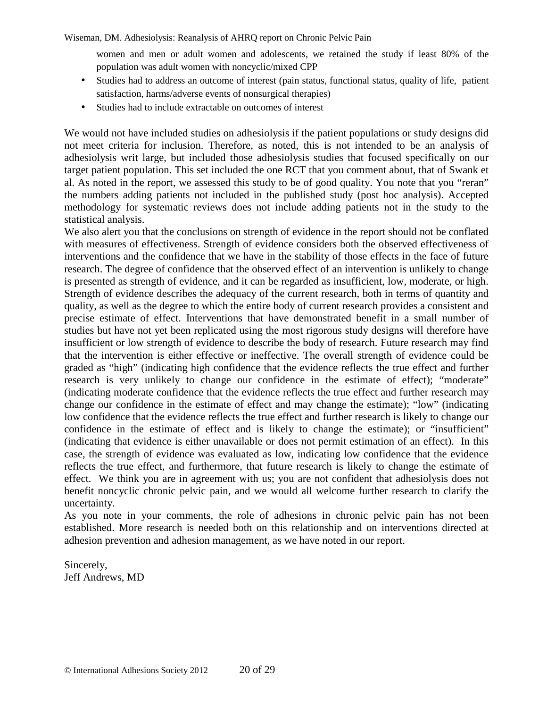women and men or adult women and adolescents, we retained the study if least 80% of the population was adult women with noncyclic/mixed CPP

- Studies had to address an outcome of interest (pain status, functional status, quality of life, patient satisfaction, harms/adverse events of nonsurgical therapies)
- Studies had to include extractable on outcomes of interest

We would not have included studies on adhesiolysis if the patient populations or study designs did not meet criteria for inclusion. Therefore, as noted, this is not intended to be an analysis of adhesiolysis writ large, but included those adhesiolysis studies that focused specifically on our target patient population. This set included the one RCT that you comment about, that of Swank et al. As noted in the report, we assessed this study to be of good quality. You note that you "reran" the numbers adding patients not included in the published study (post hoc analysis). Accepted methodology for systematic reviews does not include adding patients not in the study to the statistical analysis.

We also alert you that the conclusions on strength of evidence in the report should not be conflated with measures of effectiveness. Strength of evidence considers both the observed effectiveness of interventions and the confidence that we have in the stability of those effects in the face of future research. The degree of confidence that the observed effect of an intervention is unlikely to change is presented as strength of evidence, and it can be regarded as insufficient, low, moderate, or high. Strength of evidence describes the adequacy of the current research, both in terms of quantity and quality, as well as the degree to which the entire body of current research provides a consistent and precise estimate of effect. Interventions that have demonstrated benefit in a small number of studies but have not yet been replicated using the most rigorous study designs will therefore have insufficient or low strength of evidence to describe the body of research. Future research may find that the intervention is either effective or ineffective. The overall strength of evidence could be graded as "high" (indicating high confidence that the evidence reflects the true effect and further research is very unlikely to change our confidence in the estimate of effect); "moderate" (indicating moderate confidence that the evidence reflects the true effect and further research may change our confidence in the estimate of effect and may change the estimate); "low" (indicating low confidence that the evidence reflects the true effect and further research is likely to change our confidence in the estimate of effect and is likely to change the estimate); or "insufficient" (indicating that evidence is either unavailable or does not permit estimation of an effect). In this case, the strength of evidence was evaluated as low, indicating low confidence that the evidence reflects the true effect, and furthermore, that future research is likely to change the estimate of effect. We think you are in agreement with us; you are not confident that adhesiolysis does not benefit noncyclic chronic pelvic pain, and we would all welcome further research to clarify the uncertainty.

As you note in your comments, the role of adhesions in chronic pelvic pain has not been established. More research is needed both on this relationship and on interventions directed at adhesion prevention and adhesion management, as we have noted in our report.

Sincerely, Jeff Andrews, MD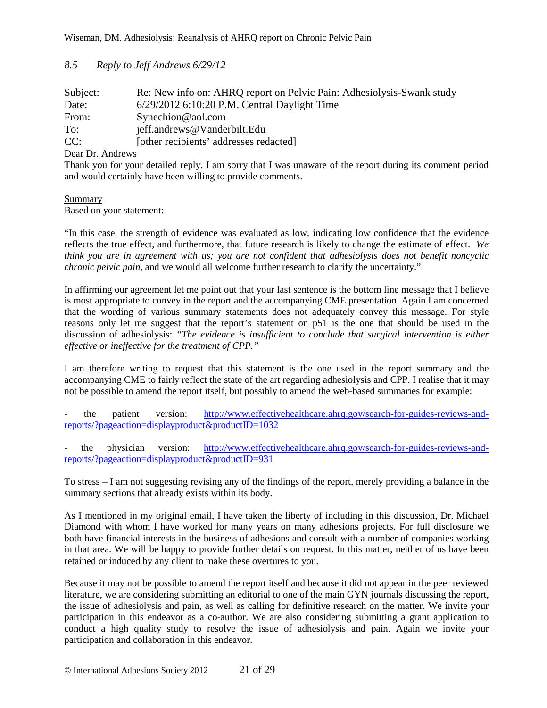### *8.5 Reply to Jeff Andrews 6/29/12*

| Subject: | Re: New info on: AHRQ report on Pelvic Pain: Adhesiolysis-Swank study |
|----------|-----------------------------------------------------------------------|
| Date:    | $6/29/2012$ 6:10:20 P.M. Central Daylight Time                        |
| From:    | $S$ ynechion@aol.com                                                  |
| To:      | jeff.andrews@Vanderbilt.Edu                                           |
| CC:      | [other recipients' addresses redacted]                                |

Dear Dr. Andrews

Thank you for your detailed reply. I am sorry that I was unaware of the report during its comment period and would certainly have been willing to provide comments.

## Summary

Based on your statement:

"In this case, the strength of evidence was evaluated as low, indicating low confidence that the evidence reflects the true effect, and furthermore, that future research is likely to change the estimate of effect. *We think you are in agreement with us; you are not confident that adhesiolysis does not benefit noncyclic chronic pelvic pain*, and we would all welcome further research to clarify the uncertainty."

In affirming our agreement let me point out that your last sentence is the bottom line message that I believe is most appropriate to convey in the report and the accompanying CME presentation. Again I am concerned that the wording of various summary statements does not adequately convey this message. For style reasons only let me suggest that the report's statement on p51 is the one that should be used in the discussion of adhesiolysis: *"The evidence is insufficient to conclude that surgical intervention is either effective or ineffective for the treatment of CPP."*

I am therefore writing to request that this statement is the one used in the report summary and the accompanying CME to fairly reflect the state of the art regarding adhesiolysis and CPP. I realise that it may not be possible to amend the report itself, but possibly to amend the web-based summaries for example:

the patient version: http://www.effectivehealthcare.ahrq.gov/search-for-guides-reviews-andreports/?pageaction=displayproduct&productID=1032

the physician version: http://www.effectivehealthcare.ahrq.gov/search-for-guides-reviews-andreports/?pageaction=displayproduct&productID=931

To stress – I am not suggesting revising any of the findings of the report, merely providing a balance in the summary sections that already exists within its body.

As I mentioned in my original email, I have taken the liberty of including in this discussion, Dr. Michael Diamond with whom I have worked for many years on many adhesions projects. For full disclosure we both have financial interests in the business of adhesions and consult with a number of companies working in that area. We will be happy to provide further details on request. In this matter, neither of us have been retained or induced by any client to make these overtures to you.

Because it may not be possible to amend the report itself and because it did not appear in the peer reviewed literature, we are considering submitting an editorial to one of the main GYN journals discussing the report, the issue of adhesiolysis and pain, as well as calling for definitive research on the matter. We invite your participation in this endeavor as a co-author. We are also considering submitting a grant application to conduct a high quality study to resolve the issue of adhesiolysis and pain. Again we invite your participation and collaboration in this endeavor.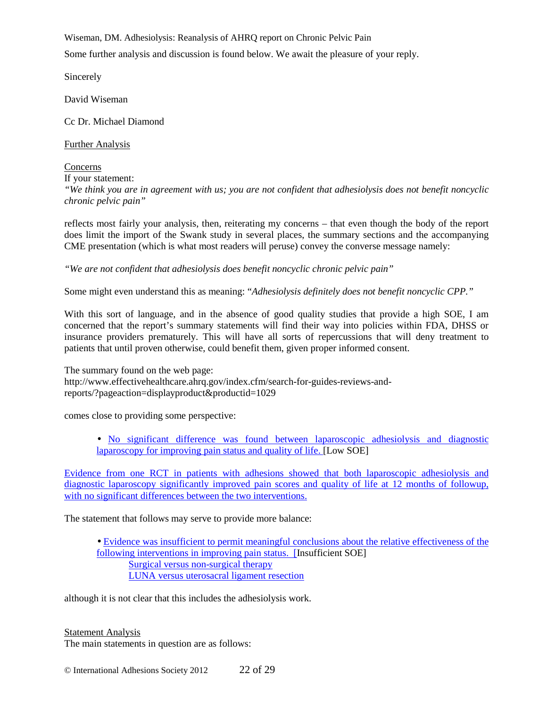Some further analysis and discussion is found below. We await the pleasure of your reply.

Sincerely

David Wiseman

Cc Dr. Michael Diamond

Further Analysis

Concerns If your statement: *"We think you are in agreement with us; you are not confident that adhesiolysis does not benefit noncyclic chronic pelvic pain"* 

reflects most fairly your analysis, then, reiterating my concerns – that even though the body of the report does limit the import of the Swank study in several places, the summary sections and the accompanying CME presentation (which is what most readers will peruse) convey the converse message namely:

*"We are not confident that adhesiolysis does benefit noncyclic chronic pelvic pain"* 

Some might even understand this as meaning: "*Adhesiolysis definitely does not benefit noncyclic CPP."* 

With this sort of language, and in the absence of good quality studies that provide a high SOE, I am concerned that the report's summary statements will find their way into policies within FDA, DHSS or insurance providers prematurely. This will have all sorts of repercussions that will deny treatment to patients that until proven otherwise, could benefit them, given proper informed consent.

The summary found on the web page: http://www.effectivehealthcare.ahrq.gov/index.cfm/search-for-guides-reviews-andreports/?pageaction=displayproduct&productid=1029

comes close to providing some perspective:

• No significant difference was found between laparoscopic adhesiolysis and diagnostic laparoscopy for improving pain status and quality of life. [Low SOE]

Evidence from one RCT in patients with adhesions showed that both laparoscopic adhesiolysis and diagnostic laparoscopy significantly improved pain scores and quality of life at 12 months of followup, with no significant differences between the two interventions.

The statement that follows may serve to provide more balance:

• Evidence was insufficient to permit meaningful conclusions about the relative effectiveness of the following interventions in improving pain status. [Insufficient SOE] Surgical versus non-surgical therapy LUNA versus uterosacral ligament resection

although it is not clear that this includes the adhesiolysis work.

Statement Analysis The main statements in question are as follows: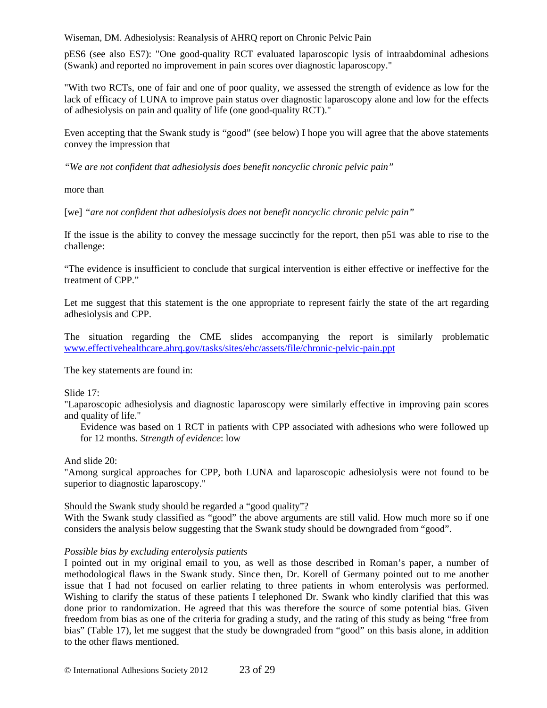pES6 (see also ES7): "One good-quality RCT evaluated laparoscopic lysis of intraabdominal adhesions (Swank) and reported no improvement in pain scores over diagnostic laparoscopy."

"With two RCTs, one of fair and one of poor quality, we assessed the strength of evidence as low for the lack of efficacy of LUNA to improve pain status over diagnostic laparoscopy alone and low for the effects of adhesiolysis on pain and quality of life (one good-quality RCT)."

Even accepting that the Swank study is "good" (see below) I hope you will agree that the above statements convey the impression that

*"We are not confident that adhesiolysis does benefit noncyclic chronic pelvic pain"* 

more than

[we] *"are not confident that adhesiolysis does not benefit noncyclic chronic pelvic pain"* 

If the issue is the ability to convey the message succinctly for the report, then p51 was able to rise to the challenge:

"The evidence is insufficient to conclude that surgical intervention is either effective or ineffective for the treatment of CPP."

Let me suggest that this statement is the one appropriate to represent fairly the state of the art regarding adhesiolysis and CPP.

The situation regarding the CME slides accompanying the report is similarly problematic www.effectivehealthcare.ahrq.gov/tasks/sites/ehc/assets/file/chronic-pelvic-pain.ppt

The key statements are found in:

### Slide 17:

"Laparoscopic adhesiolysis and diagnostic laparoscopy were similarly effective in improving pain scores and quality of life."

Evidence was based on 1 RCT in patients with CPP associated with adhesions who were followed up for 12 months. *Strength of evidence*: low

And slide 20:

"Among surgical approaches for CPP, both LUNA and laparoscopic adhesiolysis were not found to be superior to diagnostic laparoscopy."

### Should the Swank study should be regarded a "good quality"?

With the Swank study classified as "good" the above arguments are still valid. How much more so if one considers the analysis below suggesting that the Swank study should be downgraded from "good".

#### *Possible bias by excluding enterolysis patients*

I pointed out in my original email to you, as well as those described in Roman's paper, a number of methodological flaws in the Swank study. Since then, Dr. Korell of Germany pointed out to me another issue that I had not focused on earlier relating to three patients in whom enterolysis was performed. Wishing to clarify the status of these patients I telephoned Dr. Swank who kindly clarified that this was done prior to randomization. He agreed that this was therefore the source of some potential bias. Given freedom from bias as one of the criteria for grading a study, and the rating of this study as being "free from bias" (Table 17), let me suggest that the study be downgraded from "good" on this basis alone, in addition to the other flaws mentioned.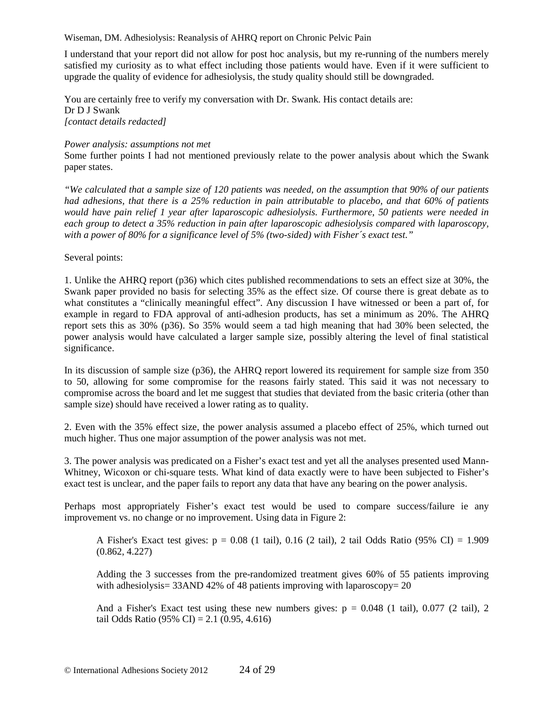I understand that your report did not allow for post hoc analysis, but my re-running of the numbers merely satisfied my curiosity as to what effect including those patients would have. Even if it were sufficient to upgrade the quality of evidence for adhesiolysis, the study quality should still be downgraded.

You are certainly free to verify my conversation with Dr. Swank. His contact details are: Dr D J Swank *[contact details redacted]* 

#### *Power analysis: assumptions not met*

Some further points I had not mentioned previously relate to the power analysis about which the Swank paper states.

*"We calculated that a sample size of 120 patients was needed, on the assumption that 90% of our patients had adhesions, that there is a 25% reduction in pain attributable to placebo, and that 60% of patients would have pain relief 1 year after laparoscopic adhesiolysis. Furthermore, 50 patients were needed in each group to detect a 35% reduction in pain after laparoscopic adhesiolysis compared with laparoscopy, with a power of 80% for a significance level of 5% (two-sided) with Fisher´s exact test."* 

Several points:

1. Unlike the AHRQ report (p36) which cites published recommendations to sets an effect size at 30%, the Swank paper provided no basis for selecting 35% as the effect size. Of course there is great debate as to what constitutes a "clinically meaningful effect". Any discussion I have witnessed or been a part of, for example in regard to FDA approval of anti-adhesion products, has set a minimum as 20%. The AHRQ report sets this as 30% (p36). So 35% would seem a tad high meaning that had 30% been selected, the power analysis would have calculated a larger sample size, possibly altering the level of final statistical significance.

In its discussion of sample size (p36), the AHRQ report lowered its requirement for sample size from 350 to 50, allowing for some compromise for the reasons fairly stated. This said it was not necessary to compromise across the board and let me suggest that studies that deviated from the basic criteria (other than sample size) should have received a lower rating as to quality.

2. Even with the 35% effect size, the power analysis assumed a placebo effect of 25%, which turned out much higher. Thus one major assumption of the power analysis was not met.

3. The power analysis was predicated on a Fisher's exact test and yet all the analyses presented used Mann-Whitney, Wicoxon or chi-square tests. What kind of data exactly were to have been subjected to Fisher's exact test is unclear, and the paper fails to report any data that have any bearing on the power analysis.

Perhaps most appropriately Fisher's exact test would be used to compare success/failure ie any improvement vs. no change or no improvement. Using data in Figure 2:

A Fisher's Exact test gives:  $p = 0.08$  (1 tail), 0.16 (2 tail), 2 tail Odds Ratio (95% CI) = 1.909 (0.862, 4.227)

Adding the 3 successes from the pre-randomized treatment gives 60% of 55 patients improving with adhesiolysis= 33AND 42% of 48 patients improving with laparoscopy= 20

And a Fisher's Exact test using these new numbers gives:  $p = 0.048$  (1 tail), 0.077 (2 tail), 2 tail Odds Ratio (95% CI) = 2.1 (0.95, 4.616)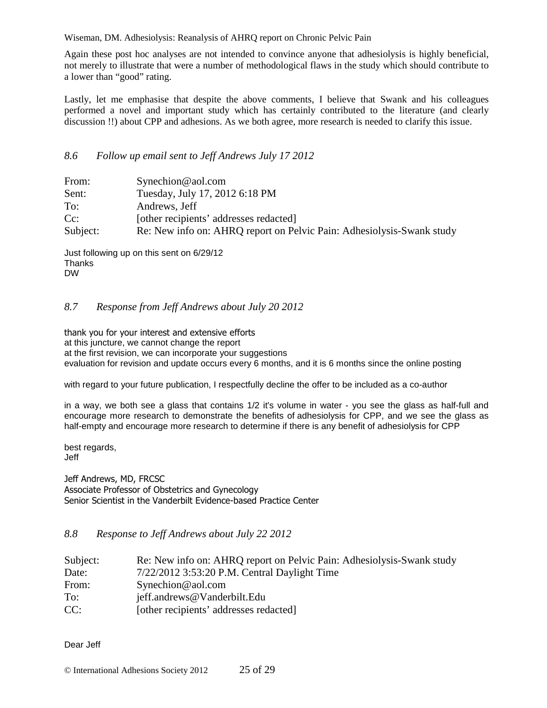Again these post hoc analyses are not intended to convince anyone that adhesiolysis is highly beneficial, not merely to illustrate that were a number of methodological flaws in the study which should contribute to a lower than "good" rating.

Lastly, let me emphasise that despite the above comments, I believe that Swank and his colleagues performed a novel and important study which has certainly contributed to the literature (and clearly discussion !!) about CPP and adhesions. As we both agree, more research is needed to clarify this issue.

### *8.6 Follow up email sent to Jeff Andrews July 17 2012*

| From:    | Synechion@aol.com                                                     |
|----------|-----------------------------------------------------------------------|
| Sent:    | Tuesday, July 17, 2012 6:18 PM                                        |
| To:      | Andrews, Jeff                                                         |
| $Cc$ :   | [other recipients' addresses redacted]                                |
| Subject: | Re: New info on: AHRQ report on Pelvic Pain: Adhesiolysis-Swank study |

Just following up on this sent on 6/29/12 **Thanks** DW

### *8.7 Response from Jeff Andrews about July 20 2012*

thank you for your interest and extensive efforts at this juncture, we cannot change the report at the first revision, we can incorporate your suggestions evaluation for revision and update occurs every 6 months, and it is 6 months since the online posting

with regard to your future publication, I respectfully decline the offer to be included as a co-author

in a way, we both see a glass that contains 1/2 it's volume in water - you see the glass as half-full and encourage more research to demonstrate the benefits of adhesiolysis for CPP, and we see the glass as half-empty and encourage more research to determine if there is any benefit of adhesiolysis for CPP

best regards, Jeff

Jeff Andrews, MD, FRCSC Associate Professor of Obstetrics and Gynecology Senior Scientist in the Vanderbilt Evidence-based Practice Center

### *8.8 Response to Jeff Andrews about July 22 2012*

| Subject: | Re: New info on: AHRQ report on Pelvic Pain: Adhesiolysis-Swank study |
|----------|-----------------------------------------------------------------------|
| Date:    | 7/22/2012 3:53:20 P.M. Central Daylight Time                          |
| From:    | $S$ ynechion@aol.com                                                  |
| To:      | jeff.andrews@Vanderbilt.Edu                                           |
| CC:      | [other recipients' addresses redacted]                                |

Dear Jeff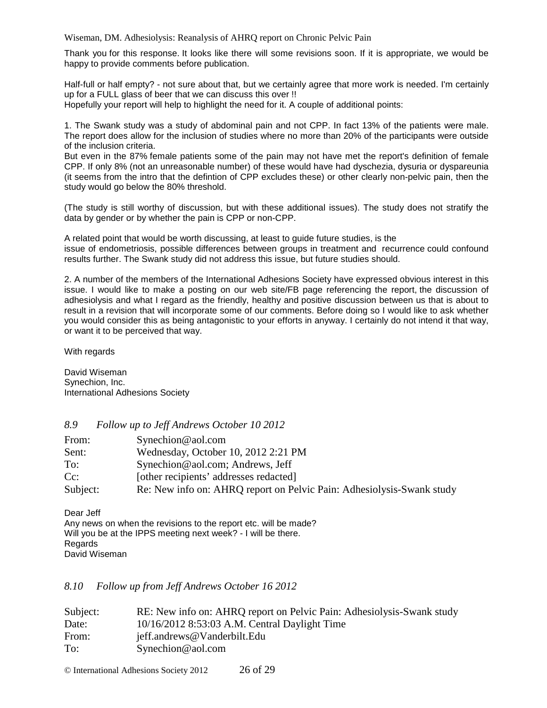Thank you for this response. It looks like there will some revisions soon. If it is appropriate, we would be happy to provide comments before publication.

Half-full or half empty? - not sure about that, but we certainly agree that more work is needed. I'm certainly up for a FULL glass of beer that we can discuss this over !! Hopefully your report will help to highlight the need for it. A couple of additional points:

1. The Swank study was a study of abdominal pain and not CPP. In fact 13% of the patients were male. The report does allow for the inclusion of studies where no more than 20% of the participants were outside of the inclusion criteria.

But even in the 87% female patients some of the pain may not have met the report's definition of female CPP. If only 8% (not an unreasonable number) of these would have had dyschezia, dysuria or dyspareunia (it seems from the intro that the defintion of CPP excludes these) or other clearly non-pelvic pain, then the study would go below the 80% threshold.

(The study is still worthy of discussion, but with these additional issues). The study does not stratify the data by gender or by whether the pain is CPP or non-CPP.

A related point that would be worth discussing, at least to guide future studies, is the issue of endometriosis, possible differences between groups in treatment and recurrence could confound results further. The Swank study did not address this issue, but future studies should.

2. A number of the members of the International Adhesions Society have expressed obvious interest in this issue. I would like to make a posting on our web site/FB page referencing the report, the discussion of adhesiolysis and what I regard as the friendly, healthy and positive discussion between us that is about to result in a revision that will incorporate some of our comments. Before doing so I would like to ask whether you would consider this as being antagonistic to your efforts in anyway. I certainly do not intend it that way, or want it to be perceived that way.

With regards

David Wiseman Synechion, Inc. International Adhesions Society

*8.9 Follow up to Jeff Andrews October 10 2012* 

| From:    | $S$ ynechion@aol.com                                                  |
|----------|-----------------------------------------------------------------------|
| Sent:    | Wednesday, October 10, 2012 2:21 PM                                   |
| To:      | Synechion@aol.com; Andrews, Jeff                                      |
| $Cc$ :   | [other recipients' addresses redacted]                                |
| Subject: | Re: New info on: AHRQ report on Pelvic Pain: Adhesiolysis-Swank study |

Dear Jeff Any news on when the revisions to the report etc. will be made? Will you be at the IPPS meeting next week? - I will be there. Regards David Wiseman

### *8.10 Follow up from Jeff Andrews October 16 2012*

| Subject: | RE: New info on: AHRQ report on Pelvic Pain: Adhesiolysis-Swank study |
|----------|-----------------------------------------------------------------------|
| Date:    | 10/16/2012 8:53:03 A.M. Central Daylight Time                         |
| From:    | jeff.andrews@Vanderbilt.Edu                                           |
| To:      | $S$ ynechion@aol.com                                                  |

© International Adhesions Society 2012 26 of 29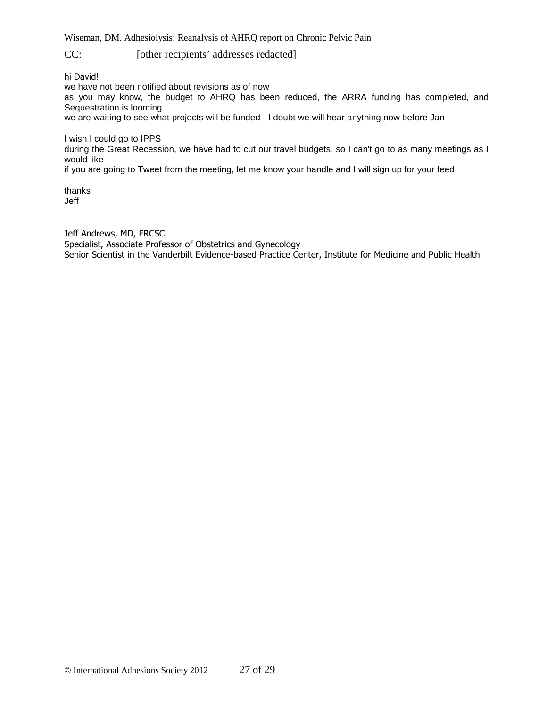CC: [other recipients' addresses redacted]

hi David!

we have not been notified about revisions as of now

as you may know, the budget to AHRQ has been reduced, the ARRA funding has completed, and Sequestration is looming

we are waiting to see what projects will be funded - I doubt we will hear anything now before Jan

I wish I could go to IPPS

during the Great Recession, we have had to cut our travel budgets, so I can't go to as many meetings as I would like

if you are going to Tweet from the meeting, let me know your handle and I will sign up for your feed

thanks Jeff

Jeff Andrews, MD, FRCSC Specialist, Associate Professor of Obstetrics and Gynecology Senior Scientist in the Vanderbilt Evidence-based Practice Center, Institute for Medicine and Public Health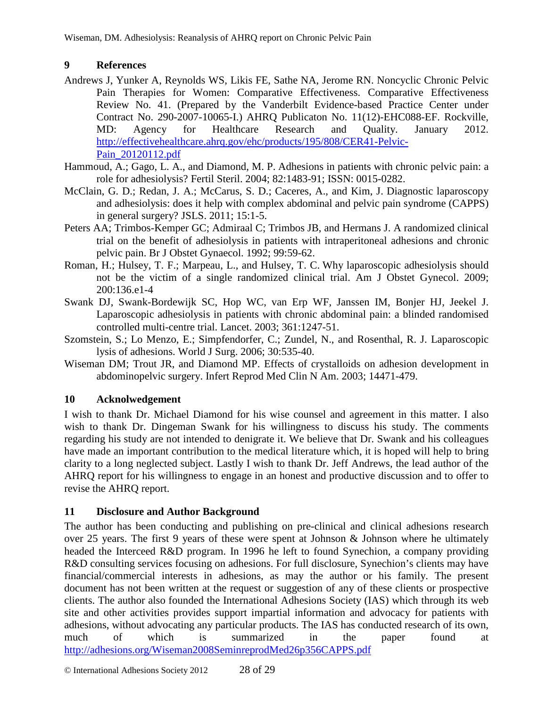# **9 References**

- Andrews J, Yunker A, Reynolds WS, Likis FE, Sathe NA, Jerome RN. Noncyclic Chronic Pelvic Pain Therapies for Women: Comparative Effectiveness. Comparative Effectiveness Review No. 41. (Prepared by the Vanderbilt Evidence-based Practice Center under Contract No. 290-2007-10065-I.) AHRQ Publicaton No. 11(12)-EHC088-EF. Rockville, MD: Agency for Healthcare Research and Quality. January 2012. http://effectivehealthcare.ahrq.gov/ehc/products/195/808/CER41-Pelvic-Pain\_20120112.pdf
- Hammoud, A.; Gago, L. A., and Diamond, M. P. Adhesions in patients with chronic pelvic pain: a role for adhesiolysis? Fertil Steril. 2004; 82:1483-91; ISSN: 0015-0282.
- McClain, G. D.; Redan, J. A.; McCarus, S. D.; Caceres, A., and Kim, J. Diagnostic laparoscopy and adhesiolysis: does it help with complex abdominal and pelvic pain syndrome (CAPPS) in general surgery? JSLS. 2011; 15:1-5.
- Peters AA; Trimbos-Kemper GC; Admiraal C; Trimbos JB, and Hermans J. A randomized clinical trial on the benefit of adhesiolysis in patients with intraperitoneal adhesions and chronic pelvic pain. Br J Obstet Gynaecol. 1992; 99:59-62.
- Roman, H.; Hulsey, T. F.; Marpeau, L., and Hulsey, T. C. Why laparoscopic adhesiolysis should not be the victim of a single randomized clinical trial. Am J Obstet Gynecol. 2009; 200:136.e1-4
- Swank DJ, Swank-Bordewijk SC, Hop WC, van Erp WF, Janssen IM, Bonjer HJ, Jeekel J. Laparoscopic adhesiolysis in patients with chronic abdominal pain: a blinded randomised controlled multi-centre trial. Lancet. 2003; 361:1247-51.
- Szomstein, S.; Lo Menzo, E.; Simpfendorfer, C.; Zundel, N., and Rosenthal, R. J. Laparoscopic lysis of adhesions. World J Surg. 2006; 30:535-40.
- Wiseman DM; Trout JR, and Diamond MP. Effects of crystalloids on adhesion development in abdominopelvic surgery. Infert Reprod Med Clin N Am. 2003; 14471-479.

## **10 Acknolwedgement**

I wish to thank Dr. Michael Diamond for his wise counsel and agreement in this matter. I also wish to thank Dr. Dingeman Swank for his willingness to discuss his study. The comments regarding his study are not intended to denigrate it. We believe that Dr. Swank and his colleagues have made an important contribution to the medical literature which, it is hoped will help to bring clarity to a long neglected subject. Lastly I wish to thank Dr. Jeff Andrews, the lead author of the AHRQ report for his willingness to engage in an honest and productive discussion and to offer to revise the AHRQ report.

# **11 Disclosure and Author Background**

The author has been conducting and publishing on pre-clinical and clinical adhesions research over 25 years. The first 9 years of these were spent at Johnson  $\&$  Johnson where he ultimately headed the Interceed R&D program. In 1996 he left to found Synechion, a company providing R&D consulting services focusing on adhesions. For full disclosure, Synechion's clients may have financial/commercial interests in adhesions, as may the author or his family. The present document has not been written at the request or suggestion of any of these clients or prospective clients. The author also founded the International Adhesions Society (IAS) which through its web site and other activities provides support impartial information and advocacy for patients with adhesions, without advocating any particular products. The IAS has conducted research of its own, much of which is summarized in the paper found at http://adhesions.org/Wiseman2008SeminreprodMed26p356CAPPS.pdf